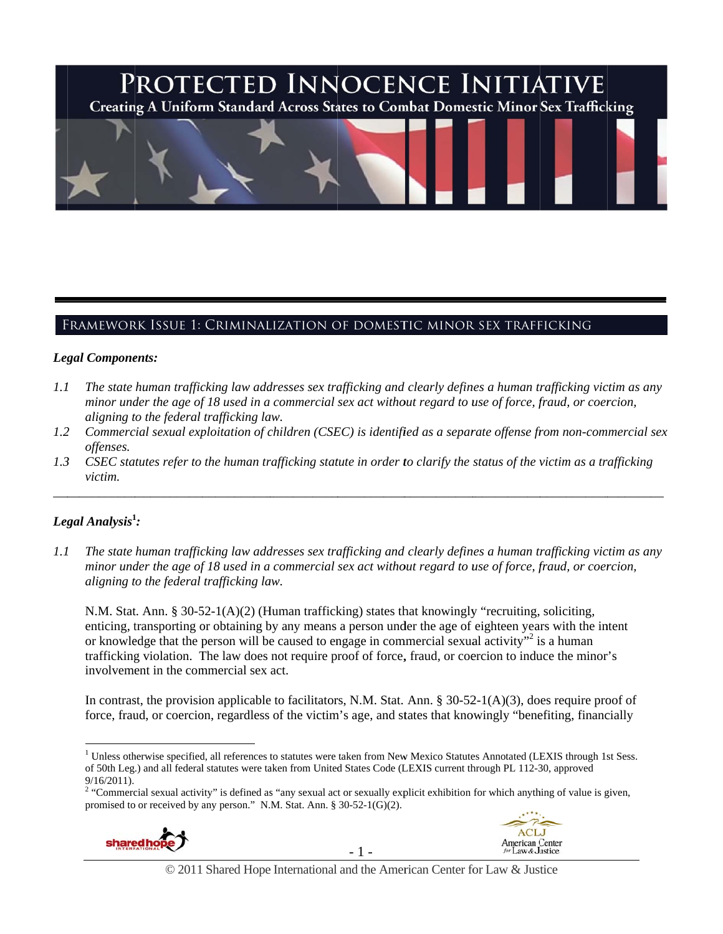# PROTECTED INNOCENCE INITIATIVE **Creating A Uniform Standard Across States to Combat Domestic Minor Sex Trafficking**

## Framework Issue 1: Criminalization of domestic minor sex trafficking

#### Legal Components:

- *1.1 l* The state human trafficking law addresses sex trafficking and clearly defines a human trafficking victim as any *minor under the age of 18 used in a commercial sex act without regard to use of force, fraud, or coercion, aligning t to the federal trafficking la aw.*
- *1.2* 2 Commercial sexual exploitation of children (CSEC) is identified as a separate offense from non-commercial sex *offenses.*

\_\_\_\_\_\_\_\_\_\_\_\_

\_\_\_\_\_\_\_\_\_\_\_

\_\_\_\_\_\_\_\_\_\_\_

\_\_\_\_\_\_\_\_\_\_\_\_

\_\_\_\_\_\_\_\_\_

*1.3* 3 CSEC statutes refer to the human trafficking statute in order to clarify the status of the victim as a trafficking *victim.* 

\_\_\_\_\_\_\_\_\_\_\_

# *Leg gal Analysis***<sup>1</sup> 1** *:*

 $\overline{a}$ 

\_\_\_\_\_\_\_\_\_\_\_

\_\_\_\_\_\_\_\_\_\_\_\_

\_\_\_\_\_\_\_\_\_\_\_

 $\overline{a}$ 

*1.1 1* The state human trafficking law addresses sex trafficking and clearly defines a human trafficking victim as any *minor under the age of 18 used in a commercial sex act without regard to use of force, fraud, or coercion, aligning t to the federal trafficking la aw.*

N.M. Stat. Ann. § 30-52-1(A)(2) (Human trafficking) states that knowingly "recruiting, soliciting, enticing, transporting or obtaining by any means a person under the age of eighteen years with the intent or knowledge that the person will be caused to engage in commercial sexual activity"<sup>2</sup> is a human trafficking violation. The law does not require proof of force, fraud, or coercion to induce the minor's involvement in the commercial sex act.

In contrast, the provision applicable to facilitators, N.M. Stat. Ann. § 30-52-1(A)(3), does require proof of force, fraud, or coercion, regardless of the victim's age, and states that knowingly "benefiting, financially

<sup>9/16/2011).&</sup>lt;br><sup>2</sup> "Commercial sexual activity" is defined as "any sexual act or sexually explicit exhibition for which anything of value is given, promised to or received by any person." N.M. Stat. Ann. § 30-52-1(G)(2).



 $\overline{a}$ 



<sup>&</sup>lt;sup>1</sup> Unless otherwise specified, all references to statutes were taken from New Mexico Statutes Annotated (LEXIS through 1st Sess. of 50th Leg.) and all federal statutes were taken from United States Code (LEXIS current through PL 112-30, approved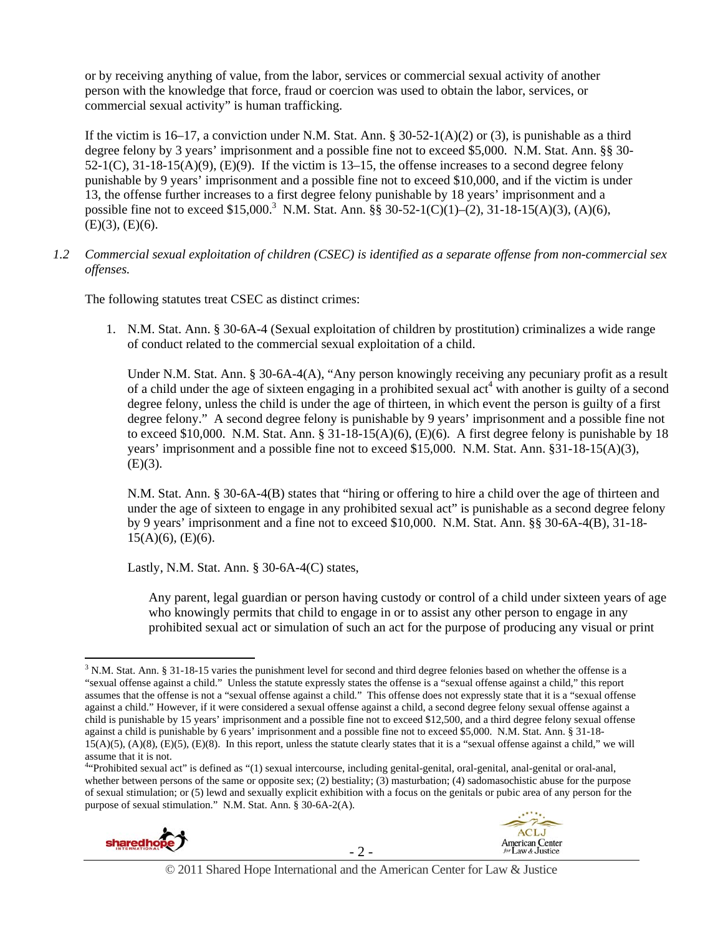or by receiving anything of value, from the labor, services or commercial sexual activity of another person with the knowledge that force, fraud or coercion was used to obtain the labor, services, or commercial sexual activity" is human trafficking.

If the victim is 16–17, a conviction under N.M. Stat. Ann. § 30-52-1(A)(2) or (3), is punishable as a third degree felony by 3 years' imprisonment and a possible fine not to exceed \$5,000. N.M. Stat. Ann. §§ 30-  $52-1(C)$ ,  $31-18-15(A)(9)$ ,  $(E)(9)$ . If the victim is  $13-15$ , the offense increases to a second degree felony punishable by 9 years' imprisonment and a possible fine not to exceed \$10,000, and if the victim is under 13, the offense further increases to a first degree felony punishable by 18 years' imprisonment and a possible fine not to exceed \$15,000.<sup>3</sup> N.M. Stat. Ann. §§ 30-52-1(C)(1)–(2), 31-18-15(A)(3), (A)(6),  $(E)(3)$ ,  $(E)(6)$ .

#### *1.2 Commercial sexual exploitation of children (CSEC) is identified as a separate offense from non-commercial sex offenses.*

The following statutes treat CSEC as distinct crimes:

1. N.M. Stat. Ann. § 30-6A-4 (Sexual exploitation of children by prostitution) criminalizes a wide range of conduct related to the commercial sexual exploitation of a child.

Under N.M. Stat. Ann. § 30-6A-4(A), "Any person knowingly receiving any pecuniary profit as a result of a child under the age of sixteen engaging in a prohibited sexual  $act<sup>4</sup>$  with another is guilty of a second degree felony, unless the child is under the age of thirteen, in which event the person is guilty of a first degree felony." A second degree felony is punishable by 9 years' imprisonment and a possible fine not to exceed \$10,000. N.M. Stat. Ann. § 31-18-15(A)(6), (E)(6). A first degree felony is punishable by 18 years' imprisonment and a possible fine not to exceed \$15,000. N.M. Stat. Ann. §31-18-15(A)(3),  $(E)(3)$ .

N.M. Stat. Ann. § 30-6A-4(B) states that "hiring or offering to hire a child over the age of thirteen and under the age of sixteen to engage in any prohibited sexual act" is punishable as a second degree felony by 9 years' imprisonment and a fine not to exceed \$10,000. N.M. Stat. Ann. §§ 30-6A-4(B), 31-18-  $15(A)(6)$ , (E)(6).

Lastly, N.M. Stat. Ann. § 30-6A-4(C) states,

Any parent, legal guardian or person having custody or control of a child under sixteen years of age who knowingly permits that child to engage in or to assist any other person to engage in any prohibited sexual act or simulation of such an act for the purpose of producing any visual or print

<sup>&</sup>lt;sup>4.</sup> Prohibited sexual act" is defined as "(1) sexual intercourse, including genital-genital, oral-genital, anal-genital or oral-anal, whether between persons of the same or opposite sex; (2) bestiality; (3) masturbation; (4) sadomasochistic abuse for the purpose of sexual stimulation; or (5) lewd and sexually explicit exhibition with a focus on the genitals or pubic area of any person for the purpose of sexual stimulation." N.M. Stat. Ann. § 30-6A-2(A).







 $\overline{a}$ <sup>3</sup> N.M. Stat. Ann. § 31-18-15 varies the punishment level for second and third degree felonies based on whether the offense is a "sexual offense against a child." Unless the statute expressly states the offense is a "sexual offense against a child," this report assumes that the offense is not a "sexual offense against a child." This offense does not expressly state that it is a "sexual offense against a child." However, if it were considered a sexual offense against a child, a second degree felony sexual offense against a child is punishable by 15 years' imprisonment and a possible fine not to exceed \$12,500, and a third degree felony sexual offense against a child is punishable by 6 years' imprisonment and a possible fine not to exceed \$5,000. N.M. Stat. Ann. § 31-18- 15(A)(5), (A)(8), (E)(5), (E)(8). In this report, unless the statute clearly states that it is a "sexual offense against a child," we will assume that it is not.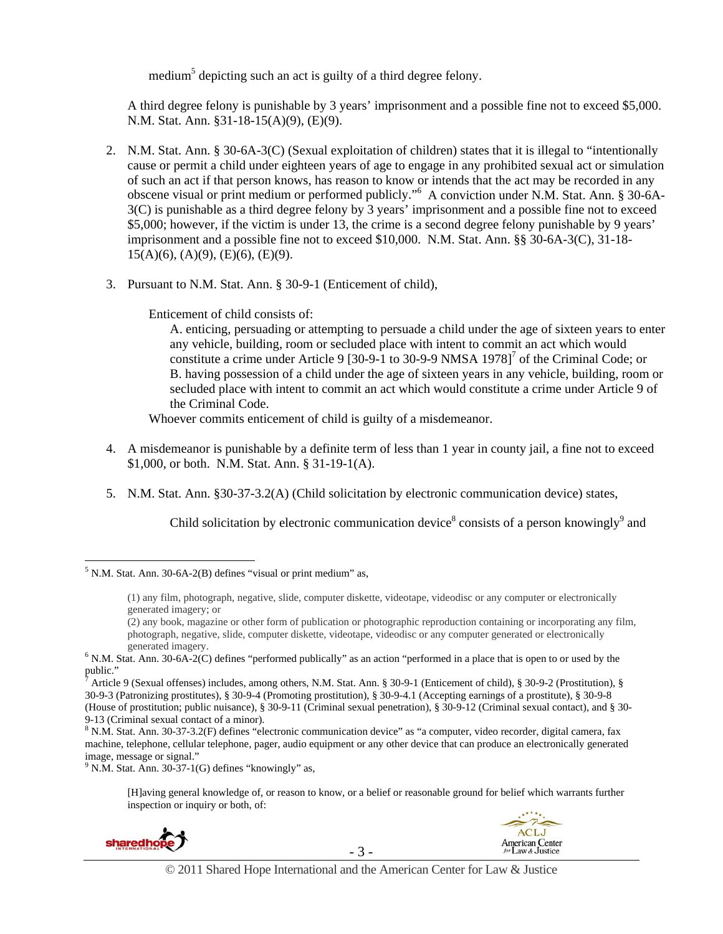medium<sup>5</sup> depicting such an act is guilty of a third degree felony.

A third degree felony is punishable by 3 years' imprisonment and a possible fine not to exceed \$5,000. N.M. Stat. Ann. §31-18-15(A)(9), (E)(9).

- 2. N.M. Stat. Ann. § 30-6A-3(C) (Sexual exploitation of children) states that it is illegal to "intentionally cause or permit a child under eighteen years of age to engage in any prohibited sexual act or simulation of such an act if that person knows, has reason to know or intends that the act may be recorded in any obscene visual or print medium or performed publicly."<sup>6</sup> A conviction under N.M. Stat. Ann. § 30-6A-3(C) is punishable as a third degree felony by 3 years' imprisonment and a possible fine not to exceed \$5,000; however, if the victim is under 13, the crime is a second degree felony punishable by 9 years' imprisonment and a possible fine not to exceed \$10,000. N.M. Stat. Ann. §§ 30-6A-3(C), 31-18-  $15(A)(6)$ ,  $(A)(9)$ ,  $(E)(6)$ ,  $(E)(9)$ .
- 3. Pursuant to N.M. Stat. Ann. § 30-9-1 (Enticement of child),

Enticement of child consists of:

A. enticing, persuading or attempting to persuade a child under the age of sixteen years to enter any vehicle, building, room or secluded place with intent to commit an act which would constitute a crime under Article 9 [30-9-1 to 30-9-9 NMSA  $1978$ ]<sup>7</sup> of the Criminal Code; or B. having possession of a child under the age of sixteen years in any vehicle, building, room or secluded place with intent to commit an act which would constitute a crime under Article 9 of the Criminal Code.

Whoever commits enticement of child is guilty of a misdemeanor.

- 4. A misdemeanor is punishable by a definite term of less than 1 year in county jail, a fine not to exceed \$1,000, or both. N.M. Stat. Ann. § 31-19-1(A).
- 5. N.M. Stat. Ann. §30-37-3.2(A) (Child solicitation by electronic communication device) states,

Child solicitation by electronic communication device<sup>8</sup> consists of a person knowingly<sup>9</sup> and

<sup>[</sup>H]aving general knowledge of, or reason to know, or a belief or reasonable ground for belief which warrants further inspection or inquiry or both, of:





 $\overline{a}$  $<sup>5</sup>$  N.M. Stat. Ann. 30-6A-2(B) defines "visual or print medium" as,</sup>

<sup>(1)</sup> any film, photograph, negative, slide, computer diskette, videotape, videodisc or any computer or electronically generated imagery; or

<sup>(2)</sup> any book, magazine or other form of publication or photographic reproduction containing or incorporating any film, photograph, negative, slide, computer diskette, videotape, videodisc or any computer generated or electronically

generated imagery.<br><sup>6</sup> N.M. Stat. Ann. 30-6A-2(C) defines "performed publically" as an action "performed in a place that is open to or used by the public."

<sup>7</sup> Article 9 (Sexual offenses) includes, among others, N.M. Stat. Ann. § 30-9-1 (Enticement of child), § 30-9-2 (Prostitution), § 30-9-3 (Patronizing prostitutes), § 30-9-4 (Promoting prostitution), § 30-9-4.1 (Accepting earnings of a prostitute), § 30-9-8 (House of prostitution; public nuisance), § 30-9-11 (Criminal sexual penetration), § 30-9-12 (Criminal sexual contact), and § 30- 9-13 (Criminal sexual contact of a minor).

 $8$  N.M. Stat. Ann. 30-37-3.2(F) defines "electronic communication device" as "a computer, video recorder, digital camera, fax machine, telephone, cellular telephone, pager, audio equipment or any other device that can produce an electronically generated image, message or signal."

 $9$  N.M. Stat. Ann. 30-37-1(G) defines "knowingly" as,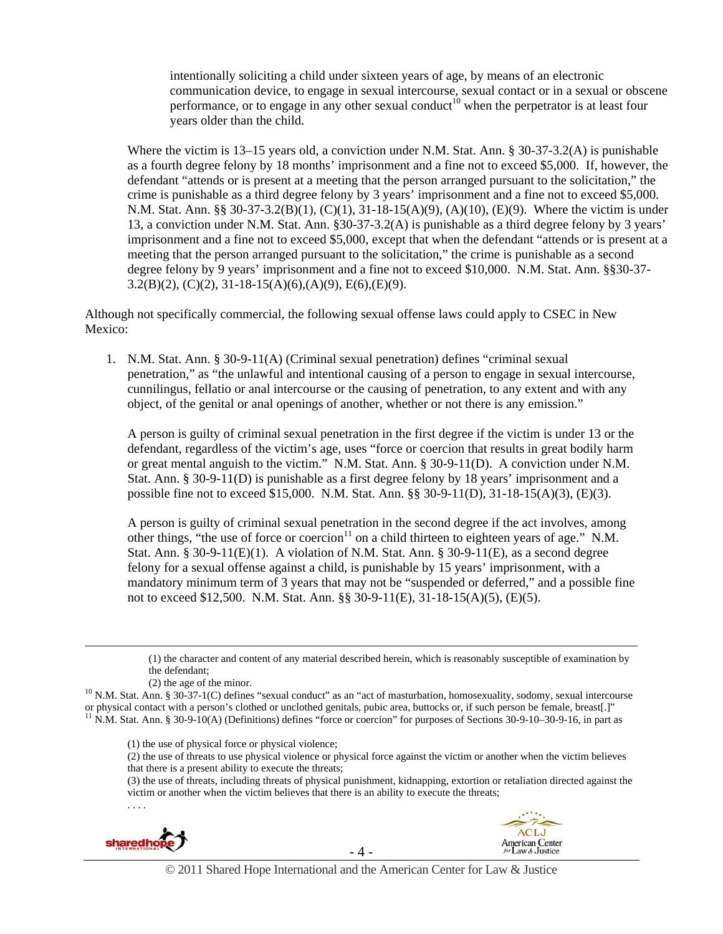intentionally soliciting a child under sixteen years of age, by means of an electronic communication device, to engage in sexual intercourse, sexual contact or in a sexual or obscene performance, or to engage in any other sexual conduct<sup>10</sup> when the perpetrator is at least four years older than the child.

Where the victim is 13–15 years old, a conviction under N.M. Stat. Ann. § 30-37-3.2(A) is punishable as a fourth degree felony by 18 months' imprisonment and a fine not to exceed \$5,000. If, however, the defendant "attends or is present at a meeting that the person arranged pursuant to the solicitation," the crime is punishable as a third degree felony by 3 years' imprisonment and a fine not to exceed \$5,000. N.M. Stat. Ann. §§ 30-37-3.2(B)(1), (C)(1), 31-18-15(A)(9), (A)(10), (E)(9). Where the victim is under 13, a conviction under N.M. Stat. Ann. §30-37-3.2(A) is punishable as a third degree felony by 3 years' imprisonment and a fine not to exceed \$5,000, except that when the defendant "attends or is present at a meeting that the person arranged pursuant to the solicitation," the crime is punishable as a second degree felony by 9 years' imprisonment and a fine not to exceed \$10,000. N.M. Stat. Ann. §§30-37- 3.2(B)(2), (C)(2), 31-18-15(A)(6),(A)(9), E(6),(E)(9).

Although not specifically commercial, the following sexual offense laws could apply to CSEC in New Mexico:

1. N.M. Stat. Ann. § 30-9-11(A) (Criminal sexual penetration) defines "criminal sexual penetration," as "the unlawful and intentional causing of a person to engage in sexual intercourse, cunnilingus, fellatio or anal intercourse or the causing of penetration, to any extent and with any object, of the genital or anal openings of another, whether or not there is any emission."

A person is guilty of criminal sexual penetration in the first degree if the victim is under 13 or the defendant, regardless of the victim's age, uses "force or coercion that results in great bodily harm or great mental anguish to the victim." N.M. Stat. Ann. § 30-9-11(D). A conviction under N.M. Stat. Ann. § 30-9-11(D) is punishable as a first degree felony by 18 years' imprisonment and a possible fine not to exceed \$15,000. N.M. Stat. Ann. §§ 30-9-11(D), 31-18-15(A)(3), (E)(3).

A person is guilty of criminal sexual penetration in the second degree if the act involves, among other things, "the use of force or coercion<sup>11</sup> on a child thirteen to eighteen years of age." N.M. Stat. Ann. § 30-9-11(E)(1). A violation of N.M. Stat. Ann. § 30-9-11(E), as a second degree felony for a sexual offense against a child, is punishable by 15 years' imprisonment, with a mandatory minimum term of 3 years that may not be "suspended or deferred," and a possible fine not to exceed \$12,500. N.M. Stat. Ann. §§ 30-9-11(E), 31-18-15(A)(5), (E)(5).

- (1) the use of physical force or physical violence;
- (2) the use of threats to use physical violence or physical force against the victim or another when the victim believes that there is a present ability to execute the threats;

(3) the use of threats, including threats of physical punishment, kidnapping, extortion or retaliation directed against the victim or another when the victim believes that there is an ability to execute the threats;



. . . .



© 2011 Shared Hope International and the American Center for Law & Justice

 <sup>(1)</sup> the character and content of any material described herein, which is reasonably susceptible of examination by the defendant;

<sup>(2)</sup> the age of the minor.<br><sup>10</sup> N.M. Stat. Ann. § 30-37-1(C) defines "sexual conduct" as an "act of masturbation, homosexuality, sodomy, sexual intercourse or physical contact with a person's clothed or unclothed genitals, pubic area, buttocks or, if such person be female, breast[.]"<br><sup>11</sup> N.M. Stat. Ann. § 30-9-10(A) (Definitions) defines "force or coercion" for purposes of S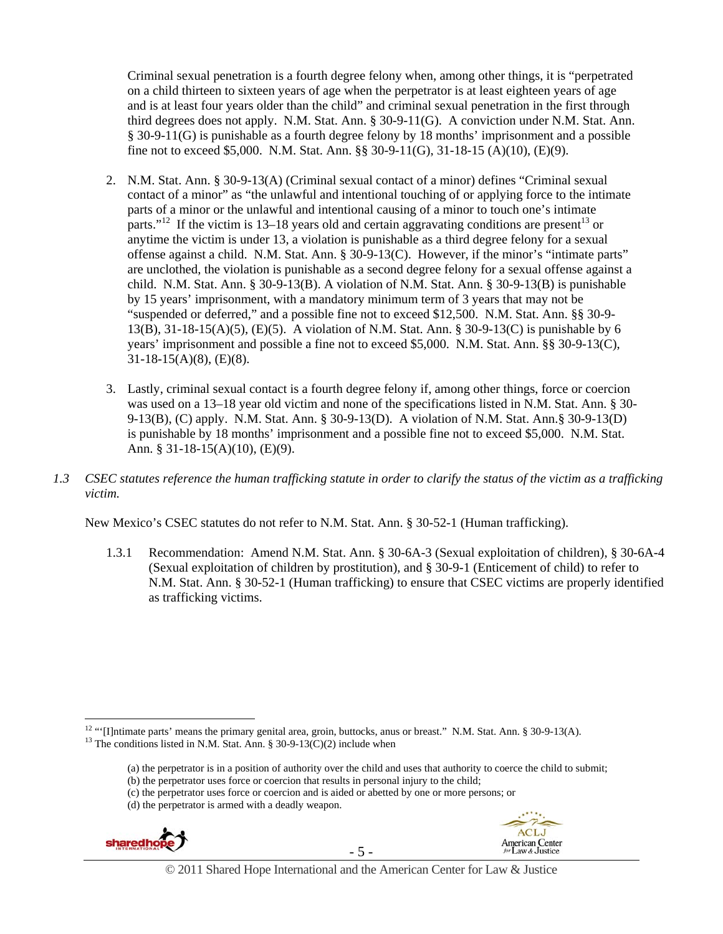Criminal sexual penetration is a fourth degree felony when, among other things, it is "perpetrated on a child thirteen to sixteen years of age when the perpetrator is at least eighteen years of age and is at least four years older than the child" and criminal sexual penetration in the first through third degrees does not apply. N.M. Stat. Ann. § 30-9-11(G). A conviction under N.M. Stat. Ann. § 30-9-11(G) is punishable as a fourth degree felony by 18 months' imprisonment and a possible fine not to exceed \$5,000. N.M. Stat. Ann. §§ 30-9-11(G), 31-18-15 (A)(10), (E)(9).

- 2. N.M. Stat. Ann. § 30-9-13(A) (Criminal sexual contact of a minor) defines "Criminal sexual contact of a minor" as "the unlawful and intentional touching of or applying force to the intimate parts of a minor or the unlawful and intentional causing of a minor to touch one's intimate parts."<sup>12</sup> If the victim is 13–18 years old and certain aggravating conditions are present<sup>13</sup> or anytime the victim is under 13, a violation is punishable as a third degree felony for a sexual offense against a child. N.M. Stat. Ann. § 30-9-13(C). However, if the minor's "intimate parts" are unclothed, the violation is punishable as a second degree felony for a sexual offense against a child. N.M. Stat. Ann. § 30-9-13(B). A violation of N.M. Stat. Ann. § 30-9-13(B) is punishable by 15 years' imprisonment, with a mandatory minimum term of 3 years that may not be "suspended or deferred," and a possible fine not to exceed \$12,500. N.M. Stat. Ann. §§ 30-9- 13(B), 31-18-15(A)(5), (E)(5). A violation of N.M. Stat. Ann. § 30-9-13(C) is punishable by 6 years' imprisonment and possible a fine not to exceed \$5,000. N.M. Stat. Ann. §§ 30-9-13(C), 31-18-15(A)(8), (E)(8).
- 3. Lastly, criminal sexual contact is a fourth degree felony if, among other things, force or coercion was used on a 13–18 year old victim and none of the specifications listed in N.M. Stat. Ann. § 30- 9-13(B), (C) apply. N.M. Stat. Ann. § 30-9-13(D). A violation of N.M. Stat. Ann.§ 30-9-13(D) is punishable by 18 months' imprisonment and a possible fine not to exceed \$5,000. N.M. Stat. Ann. § 31-18-15(A)(10), (E)(9).
- *1.3 CSEC statutes reference the human trafficking statute in order to clarify the status of the victim as a trafficking victim.*

New Mexico's CSEC statutes do not refer to N.M. Stat. Ann. § 30-52-1 (Human trafficking).

1.3.1 Recommendation: Amend N.M. Stat. Ann. § 30-6A-3 (Sexual exploitation of children), § 30-6A-4 (Sexual exploitation of children by prostitution), and § 30-9-1 (Enticement of child) to refer to N.M. Stat. Ann. § 30-52-1 (Human trafficking) to ensure that CSEC victims are properly identified as trafficking victims.

<sup>(</sup>d) the perpetrator is armed with a deadly weapon.





<sup>&</sup>lt;sup>12</sup> "'[I]ntimate parts' means the primary genital area, groin, buttocks, anus or breast." N.M. Stat. Ann. § 30-9-13(A). <sup>13</sup> The conditions listed in N.M. Stat. Ann. § 30-9-13(C)(2) include when

<sup>(</sup>a) the perpetrator is in a position of authority over the child and uses that authority to coerce the child to submit;

<sup>(</sup>b) the perpetrator uses force or coercion that results in personal injury to the child;

<sup>(</sup>c) the perpetrator uses force or coercion and is aided or abetted by one or more persons; or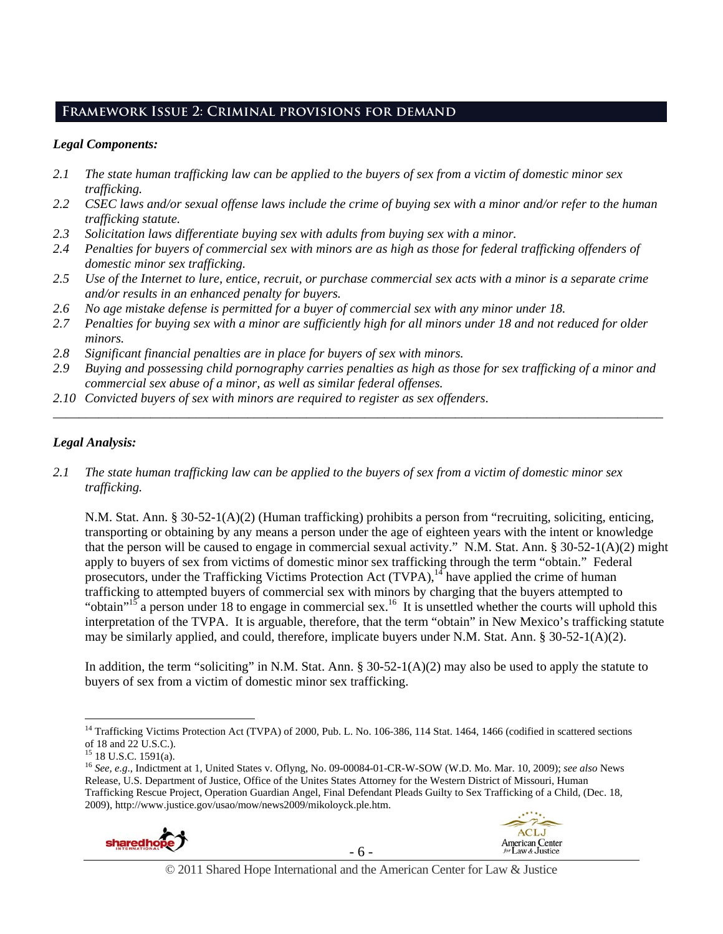## **Framework Issue 2: Criminal provisions for demand**

## *Legal Components:*

- *2.1 The state human trafficking law can be applied to the buyers of sex from a victim of domestic minor sex trafficking.*
- *2.2 CSEC laws and/or sexual offense laws include the crime of buying sex with a minor and/or refer to the human trafficking statute.*
- *2.3 Solicitation laws differentiate buying sex with adults from buying sex with a minor.*
- *2.4 Penalties for buyers of commercial sex with minors are as high as those for federal trafficking offenders of domestic minor sex trafficking.*
- *2.5 Use of the Internet to lure, entice, recruit, or purchase commercial sex acts with a minor is a separate crime and/or results in an enhanced penalty for buyers.*
- *2.6 No age mistake defense is permitted for a buyer of commercial sex with any minor under 18.*
- *2.7 Penalties for buying sex with a minor are sufficiently high for all minors under 18 and not reduced for older minors.*
- *2.8 Significant financial penalties are in place for buyers of sex with minors.*
- *2.9 Buying and possessing child pornography carries penalties as high as those for sex trafficking of a minor and commercial sex abuse of a minor, as well as similar federal offenses.*

\_\_\_\_\_\_\_\_\_\_\_\_\_\_\_\_\_\_\_\_\_\_\_\_\_\_\_\_\_\_\_\_\_\_\_\_\_\_\_\_\_\_\_\_\_\_\_\_\_\_\_\_\_\_\_\_\_\_\_\_\_\_\_\_\_\_\_\_\_\_\_\_\_\_\_\_\_\_\_\_\_\_\_\_\_\_\_\_\_\_\_\_\_\_

*2.10 Convicted buyers of sex with minors are required to register as sex offenders*.

## *Legal Analysis:*

*2.1 The state human trafficking law can be applied to the buyers of sex from a victim of domestic minor sex trafficking.*

N.M. Stat. Ann. § 30-52-1(A)(2) (Human trafficking) prohibits a person from "recruiting, soliciting, enticing, transporting or obtaining by any means a person under the age of eighteen years with the intent or knowledge that the person will be caused to engage in commercial sexual activity." N.M. Stat. Ann. § 30-52-1(A)(2) might apply to buyers of sex from victims of domestic minor sex trafficking through the term "obtain." Federal prosecutors, under the Trafficking Victims Protection Act  $(TVPA)$ ,<sup>14</sup> have applied the crime of human trafficking to attempted buyers of commercial sex with minors by charging that the buyers attempted to "obtain"<sup>15</sup> a person under 18 to engage in commercial sex.<sup>16</sup> It is unsettled whether the courts will uphold this interpretation of the TVPA. It is arguable, therefore, that the term "obtain" in New Mexico's trafficking statute may be similarly applied, and could, therefore, implicate buyers under N.M. Stat. Ann. § 30-52-1(A)(2).

In addition, the term "soliciting" in N.M. Stat. Ann. § 30-52-1(A)(2) may also be used to apply the statute to buyers of sex from a victim of domestic minor sex trafficking.

<sup>16</sup> *See, e.g*., Indictment at 1, United States v. Oflyng, No. 09-00084-01-CR-W-SOW (W.D. Mo. Mar. 10, 2009); *see also* News Release, U.S. Department of Justice, Office of the Unites States Attorney for the Western District of Missouri, Human Trafficking Rescue Project, Operation Guardian Angel, Final Defendant Pleads Guilty to Sex Trafficking of a Child, (Dec. 18, 2009), http://www.justice.gov/usao/mow/news2009/mikoloyck.ple.htm.





 $\overline{a}$ <sup>14</sup> Trafficking Victims Protection Act (TVPA) of 2000, Pub. L. No. 106-386, 114 Stat. 1464, 1466 (codified in scattered sections of 18 and 22 U.S.C.).

 $15$  18 U.S.C. 1591(a).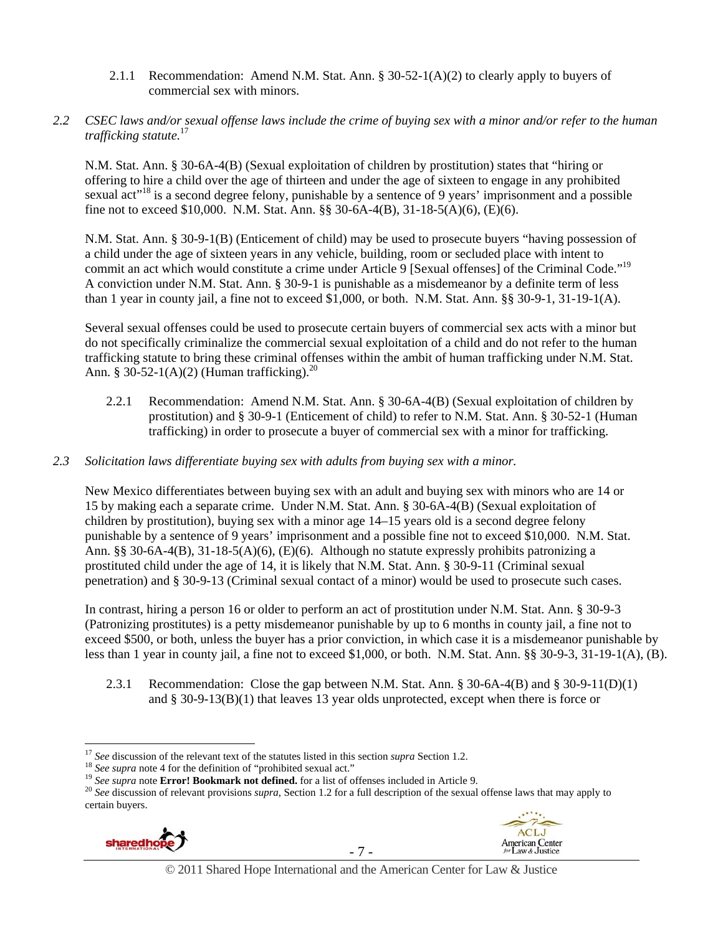2.1.1 Recommendation: Amend N.M. Stat. Ann. § 30-52-1(A)(2) to clearly apply to buyers of commercial sex with minors.

## *2.2 CSEC laws and/or sexual offense laws include the crime of buying sex with a minor and/or refer to the human trafficking statute.*<sup>17</sup>

N.M. Stat. Ann. § 30-6A-4(B) (Sexual exploitation of children by prostitution) states that "hiring or offering to hire a child over the age of thirteen and under the age of sixteen to engage in any prohibited sexual act<sup>"18</sup> is a second degree felony, punishable by a sentence of 9 years' imprisonment and a possible fine not to exceed \$10,000. N.M. Stat. Ann. §§ 30-6A-4(B), 31-18-5(A)(6), (E)(6).

N.M. Stat. Ann. § 30-9-1(B) (Enticement of child) may be used to prosecute buyers "having possession of a child under the age of sixteen years in any vehicle, building, room or secluded place with intent to commit an act which would constitute a crime under Article 9 [Sexual offenses] of the Criminal Code."<sup>19</sup> A conviction under N.M. Stat. Ann. § 30-9-1 is punishable as a misdemeanor by a definite term of less than 1 year in county jail, a fine not to exceed \$1,000, or both. N.M. Stat. Ann. §§ 30-9-1, 31-19-1(A).

Several sexual offenses could be used to prosecute certain buyers of commercial sex acts with a minor but do not specifically criminalize the commercial sexual exploitation of a child and do not refer to the human trafficking statute to bring these criminal offenses within the ambit of human trafficking under N.M. Stat. Ann. § 30-52-1(A)(2) (Human trafficking).<sup>20</sup>

2.2.1 Recommendation: Amend N.M. Stat. Ann. § 30-6A-4(B) (Sexual exploitation of children by prostitution) and § 30-9-1 (Enticement of child) to refer to N.M. Stat. Ann. § 30-52-1 (Human trafficking) in order to prosecute a buyer of commercial sex with a minor for trafficking.

## *2.3 Solicitation laws differentiate buying sex with adults from buying sex with a minor.*

New Mexico differentiates between buying sex with an adult and buying sex with minors who are 14 or 15 by making each a separate crime. Under N.M. Stat. Ann. § 30-6A-4(B) (Sexual exploitation of children by prostitution), buying sex with a minor age 14–15 years old is a second degree felony punishable by a sentence of 9 years' imprisonment and a possible fine not to exceed \$10,000. N.M. Stat. Ann. §§ 30-6A-4(B), 31-18-5(A)(6), (E)(6). Although no statute expressly prohibits patronizing a prostituted child under the age of 14, it is likely that N.M. Stat. Ann. § 30-9-11 (Criminal sexual penetration) and § 30-9-13 (Criminal sexual contact of a minor) would be used to prosecute such cases.

In contrast, hiring a person 16 or older to perform an act of prostitution under N.M. Stat. Ann. § 30-9-3 (Patronizing prostitutes) is a petty misdemeanor punishable by up to 6 months in county jail, a fine not to exceed \$500, or both, unless the buyer has a prior conviction, in which case it is a misdemeanor punishable by less than 1 year in county jail, a fine not to exceed \$1,000, or both. N.M. Stat. Ann. §§ 30-9-3, 31-19-1(A), (B).

2.3.1 Recommendation: Close the gap between N.M. Stat. Ann. § 30-6A-4(B) and § 30-9-11(D)(1) and  $\S 30-9-13(B)(1)$  that leaves 13 year olds unprotected, except when there is force or

<sup>&</sup>lt;sup>17</sup> See discussion of the relevant text of the statutes listed in this section *supra* Section 1.2.<br><sup>18</sup> See supra note 4 for the definition of "prohibited sexual act."<br><sup>19</sup> See supra note **Error! Bookmark not defined.** certain buyers.



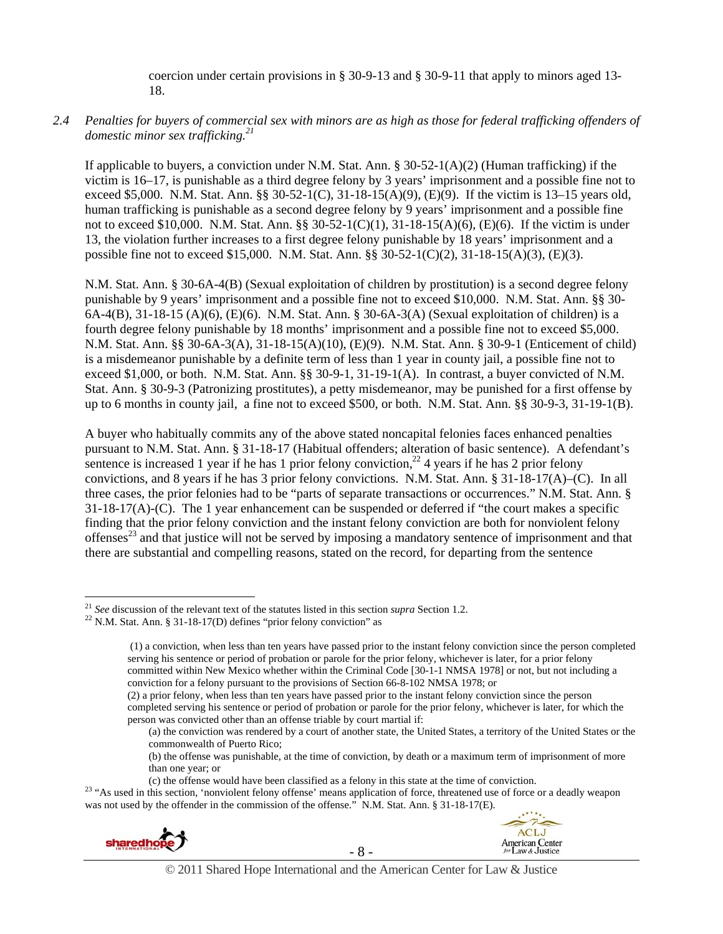coercion under certain provisions in § 30-9-13 and § 30-9-11 that apply to minors aged 13- 18.

## *2.4 Penalties for buyers of commercial sex with minors are as high as those for federal trafficking offenders of domestic minor sex trafficking.21*

If applicable to buyers, a conviction under N.M. Stat. Ann. § 30-52-1(A)(2) (Human trafficking) if the victim is 16–17, is punishable as a third degree felony by 3 years' imprisonment and a possible fine not to exceed \$5,000. N.M. Stat. Ann. §§ 30-52-1(C), 31-18-15(A)(9), (E)(9). If the victim is 13–15 years old, human trafficking is punishable as a second degree felony by 9 years' imprisonment and a possible fine not to exceed \$10,000. N.M. Stat. Ann. §§ 30-52-1(C)(1), 31-18-15(A)(6), (E)(6). If the victim is under 13, the violation further increases to a first degree felony punishable by 18 years' imprisonment and a possible fine not to exceed \$15,000. N.M. Stat. Ann. §§ 30-52-1(C)(2), 31-18-15(A)(3), (E)(3).

N.M. Stat. Ann. § 30-6A-4(B) (Sexual exploitation of children by prostitution) is a second degree felony punishable by 9 years' imprisonment and a possible fine not to exceed \$10,000. N.M. Stat. Ann. §§ 30- 6A-4(B), 31-18-15 (A)(6), (E)(6). N.M. Stat. Ann. § 30-6A-3(A) (Sexual exploitation of children) is a fourth degree felony punishable by 18 months' imprisonment and a possible fine not to exceed \$5,000. N.M. Stat. Ann. §§ 30-6A-3(A), 31-18-15(A)(10), (E)(9). N.M. Stat. Ann. § 30-9-1 (Enticement of child) is a misdemeanor punishable by a definite term of less than 1 year in county jail, a possible fine not to exceed \$1,000, or both. N.M. Stat. Ann. §§ 30-9-1, 31-19-1(A). In contrast, a buyer convicted of N.M. Stat. Ann. § 30-9-3 (Patronizing prostitutes), a petty misdemeanor, may be punished for a first offense by up to 6 months in county jail, a fine not to exceed \$500, or both. N.M. Stat. Ann. §§ 30-9-3, 31-19-1(B).

A buyer who habitually commits any of the above stated noncapital felonies faces enhanced penalties pursuant to N.M. Stat. Ann. § 31-18-17 (Habitual offenders; alteration of basic sentence). A defendant's sentence is increased 1 year if he has 1 prior felony conviction,  $^{22}$  4 years if he has 2 prior felony convictions, and 8 years if he has 3 prior felony convictions. N.M. Stat. Ann. § 31-18-17(A)–(C). In all three cases, the prior felonies had to be "parts of separate transactions or occurrences." N.M. Stat. Ann. §  $31-18-17(A)$ -(C). The 1 year enhancement can be suspended or deferred if "the court makes a specific finding that the prior felony conviction and the instant felony conviction are both for nonviolent felony offenses<sup>23</sup> and that justice will not be served by imposing a mandatory sentence of imprisonment and that there are substantial and compelling reasons, stated on the record, for departing from the sentence

(b) the offense was punishable, at the time of conviction, by death or a maximum term of imprisonment of more than one year; or

<sup>(</sup>c) the offense would have been classified as a felony in this state at the time of conviction. <sup>23</sup> "As used in this section, 'nonviolent felony offense' means application of force, threatened use of force or a deadly we was not used by the offender in the commission of the offense." N.M. Stat. Ann. § 31-18-17(E).





<sup>&</sup>lt;sup>21</sup> *See* discussion of the relevant text of the statutes listed in this section *supra* Section 1.2. <sup>22</sup> N.M. Stat. Ann. § 31-18-17(D) defines "prior felony conviction" as

 <sup>(1)</sup> a conviction, when less than ten years have passed prior to the instant felony conviction since the person completed serving his sentence or period of probation or parole for the prior felony, whichever is later, for a prior felony committed within New Mexico whether within the Criminal Code [30-1-1 NMSA 1978] or not, but not including a conviction for a felony pursuant to the provisions of Section 66-8-102 NMSA 1978; or

<sup>(2)</sup> a prior felony, when less than ten years have passed prior to the instant felony conviction since the person completed serving his sentence or period of probation or parole for the prior felony, whichever is later, for which the person was convicted other than an offense triable by court martial if:

<sup>(</sup>a) the conviction was rendered by a court of another state, the United States, a territory of the United States or the commonwealth of Puerto Rico;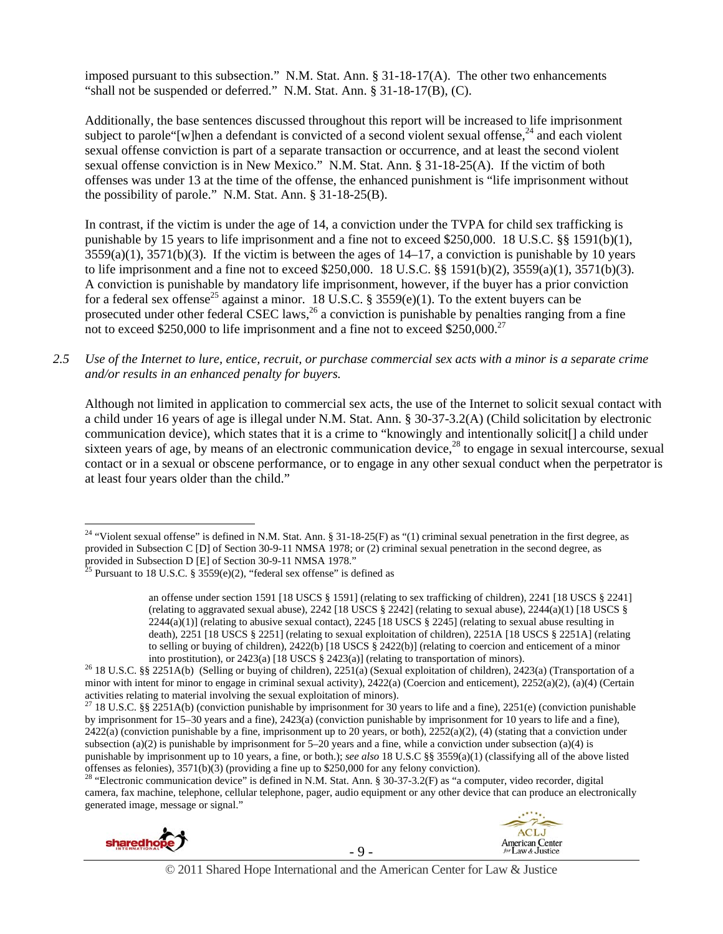imposed pursuant to this subsection." N.M. Stat. Ann. § 31-18-17(A). The other two enhancements "shall not be suspended or deferred." N.M. Stat. Ann. § 31-18-17(B), (C).

Additionally, the base sentences discussed throughout this report will be increased to life imprisonment subject to parole "[w]hen a defendant is convicted of a second violent sexual offense, $^{24}$  and each violent sexual offense conviction is part of a separate transaction or occurrence, and at least the second violent sexual offense conviction is in New Mexico." N.M. Stat. Ann. § 31-18-25(A). If the victim of both offenses was under 13 at the time of the offense, the enhanced punishment is "life imprisonment without the possibility of parole." N.M. Stat. Ann. § 31-18-25(B).

In contrast, if the victim is under the age of 14, a conviction under the TVPA for child sex trafficking is punishable by 15 years to life imprisonment and a fine not to exceed \$250,000. 18 U.S.C. §§ 1591(b)(1),  $3559(a)(1)$ ,  $3571(b)(3)$ . If the victim is between the ages of  $14-17$ , a conviction is punishable by 10 years to life imprisonment and a fine not to exceed \$250,000. 18 U.S.C. §§ 1591(b)(2), 3559(a)(1), 3571(b)(3). A conviction is punishable by mandatory life imprisonment, however, if the buyer has a prior conviction for a federal sex offense<sup>25</sup> against a minor. 18 U.S.C. § 3559(e)(1). To the extent buyers can be prosecuted under other federal CSEC laws,<sup>26</sup> a conviction is punishable by penalties ranging from a fine not to exceed \$250,000 to life imprisonment and a fine not to exceed \$250,000.<sup>27</sup>

*2.5 Use of the Internet to lure, entice, recruit, or purchase commercial sex acts with a minor is a separate crime and/or results in an enhanced penalty for buyers.* 

Although not limited in application to commercial sex acts, the use of the Internet to solicit sexual contact with a child under 16 years of age is illegal under N.M. Stat. Ann. § 30-37-3.2(A) (Child solicitation by electronic communication device), which states that it is a crime to "knowingly and intentionally solicit[] a child under sixteen years of age, by means of an electronic communication device,<sup>28</sup> to engage in sexual intercourse, sexual contact or in a sexual or obscene performance, or to engage in any other sexual conduct when the perpetrator is at least four years older than the child."

camera, fax machine, telephone, cellular telephone, pager, audio equipment or any other device that can produce an electronically generated image, message or signal."







<sup>&</sup>lt;sup>24</sup> "Violent sexual offense" is defined in N.M. Stat. Ann. § 31-18-25(F) as "(1) criminal sexual penetration in the first degree, as provided in Subsection C [D] of Section 30-9-11 NMSA 1978; or (2) criminal sexual penetration in the second degree, as provided in Subsection D [E] of Section 30-9-11 NMSA 1978."

<sup>&</sup>lt;sup>25</sup> Pursuant to 18 U.S.C. § 3559 $(e)(2)$ , "federal sex offense" is defined as

an offense under section 1591 [18 USCS § 1591] (relating to sex trafficking of children), 2241 [18 USCS § 2241] (relating to aggravated sexual abuse),  $2242$  [18 USCS § 2242] (relating to sexual abuse),  $2244(a)(1)$  [18 USCS § 2244(a)(1)] (relating to abusive sexual contact), 2245 [18 USCS § 2245] (relating to sexual abuse resulting in death), 2251 [18 USCS § 2251] (relating to sexual exploitation of children), 2251A [18 USCS § 2251A] (relating to selling or buying of children),  $2422(b)$  [18 USCS § 2422(b)] (relating to coercion and enticement of a minor into prostitution), or  $2423(a)$  [18 USCS § 2423(a)] (relating to transportation of minors).

<sup>&</sup>lt;sup>26</sup> 18 U.S.C. §§ 2251A(b) (Selling or buying of children), 2251(a) (Sexual exploitation of children), 2423(a) (Transportation of a minor with intent for minor to engage in criminal sexual activity), 2422(a) (Coercion and enticement), 2252(a)(2), (a)(4) (Certain activities relating to material involving the sexual exploitation of minors).

<sup>&</sup>lt;sup>27</sup> 18 U.S.C. §§ 2251A(b) (conviction punishable by imprisonment for 30 years to life and a fine), 2251(e) (conviction punishable by imprisonment for 15–30 years and a fine), 2423(a) (conviction punishable by imprisonment for 10 years to life and a fine),  $2422(a)$  (conviction punishable by a fine, imprisonment up to 20 years, or both),  $2252(a)(2)$ , (4) (stating that a conviction under subsection (a)(2) is punishable by imprisonment for  $5-20$  years and a fine, while a conviction under subsection (a)(4) is punishable by imprisonment up to 10 years, a fine, or both.); *see also* 18 U.S.C §§ 3559(a)(1) (classifying all of the above listed offenses as felonies),  $3571(b)(3)$  (providing a fine up to \$250,000 for any felony conviction).<br><sup>28</sup> "Electronic communication device" is defined in N.M. Stat. Ann. § 30-37-3.2(F) as "a computer, video recorder, digital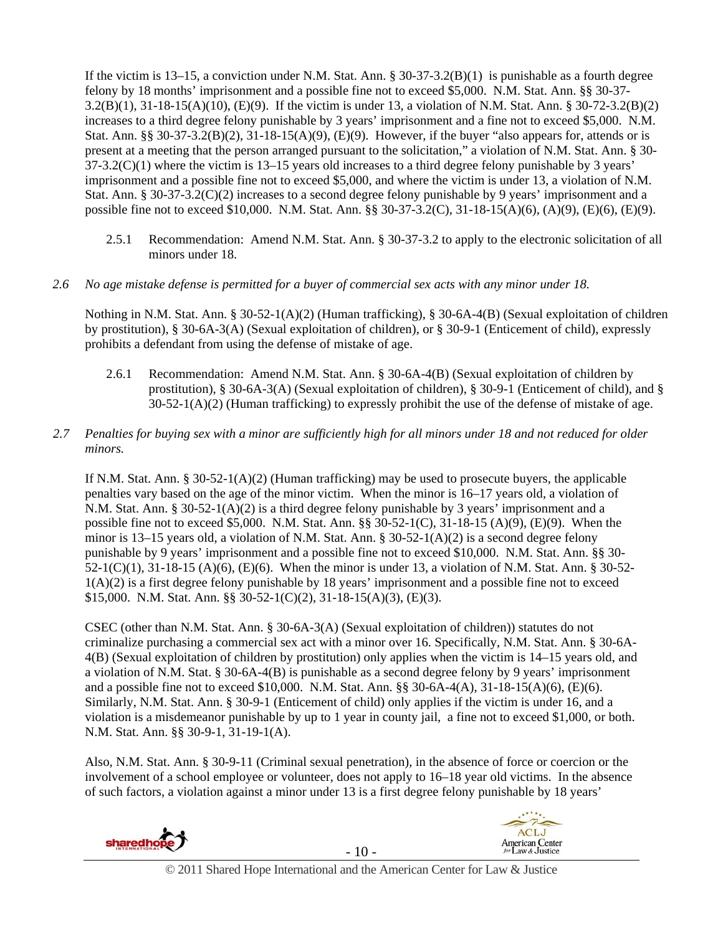If the victim is 13–15, a conviction under N.M. Stat. Ann. § 30-37-3.2(B)(1) is punishable as a fourth degree felony by 18 months' imprisonment and a possible fine not to exceed \$5,000. N.M. Stat. Ann. §§ 30-37- 3.2(B)(1), 31-18-15(A)(10), (E)(9). If the victim is under 13, a violation of N.M. Stat. Ann. § 30-72-3.2(B)(2) increases to a third degree felony punishable by 3 years' imprisonment and a fine not to exceed \$5,000. N.M. Stat. Ann. §§ 30-37-3.2(B)(2), 31-18-15(A)(9), (E)(9). However, if the buyer "also appears for, attends or is present at a meeting that the person arranged pursuant to the solicitation," a violation of N.M. Stat. Ann. § 30-  $37-3.2(C)(1)$  where the victim is  $13-15$  years old increases to a third degree felony punishable by 3 years' imprisonment and a possible fine not to exceed \$5,000, and where the victim is under 13, a violation of N.M. Stat. Ann. § 30-37-3.2(C)(2) increases to a second degree felony punishable by 9 years' imprisonment and a possible fine not to exceed \$10,000. N.M. Stat. Ann. §§ 30-37-3.2(C), 31-18-15(A)(6), (A)(9), (E)(6), (E)(9).

2.5.1 Recommendation: Amend N.M. Stat. Ann. § 30-37-3.2 to apply to the electronic solicitation of all minors under 18.

#### *2.6 No age mistake defense is permitted for a buyer of commercial sex acts with any minor under 18.*

Nothing in N.M. Stat. Ann. § 30-52-1(A)(2) (Human trafficking), § 30-6A-4(B) (Sexual exploitation of children by prostitution), § 30-6A-3(A) (Sexual exploitation of children), or § 30-9-1 (Enticement of child), expressly prohibits a defendant from using the defense of mistake of age.

- 2.6.1 Recommendation: Amend N.M. Stat. Ann. § 30-6A-4(B) (Sexual exploitation of children by prostitution), § 30-6A-3(A) (Sexual exploitation of children), § 30-9-1 (Enticement of child), and §  $30-52-1(A)(2)$  (Human trafficking) to expressly prohibit the use of the defense of mistake of age.
- *2.7 Penalties for buying sex with a minor are sufficiently high for all minors under 18 and not reduced for older minors.*

If N.M. Stat. Ann. § 30-52-1(A)(2) (Human trafficking) may be used to prosecute buyers, the applicable penalties vary based on the age of the minor victim. When the minor is 16–17 years old, a violation of N.M. Stat. Ann. § 30-52-1(A)(2) is a third degree felony punishable by 3 years' imprisonment and a possible fine not to exceed \$5,000. N.M. Stat. Ann. §§ 30-52-1(C), 31-18-15 (A)(9), (E)(9). When the minor is  $13-15$  years old, a violation of N.M. Stat. Ann. §  $30-52-1(A)(2)$  is a second degree felony punishable by 9 years' imprisonment and a possible fine not to exceed \$10,000. N.M. Stat. Ann. §§ 30- 52-1(C)(1), 31-18-15 (A)(6), (E)(6). When the minor is under 13, a violation of N.M. Stat. Ann. § 30-52-  $1(A)(2)$  is a first degree felony punishable by 18 years' imprisonment and a possible fine not to exceed \$15,000. N.M. Stat. Ann. §§ 30-52-1(C)(2), 31-18-15(A)(3), (E)(3).

CSEC (other than N.M. Stat. Ann. § 30-6A-3(A) (Sexual exploitation of children)) statutes do not criminalize purchasing a commercial sex act with a minor over 16. Specifically, N.M. Stat. Ann. § 30-6A-4(B) (Sexual exploitation of children by prostitution) only applies when the victim is 14–15 years old, and a violation of N.M. Stat. § 30-6A-4(B) is punishable as a second degree felony by 9 years' imprisonment and a possible fine not to exceed \$10,000. N.M. Stat. Ann. §§ 30-6A-4(A), 31-18-15(A)(6), (E)(6). Similarly, N.M. Stat. Ann. § 30-9-1 (Enticement of child) only applies if the victim is under 16, and a violation is a misdemeanor punishable by up to 1 year in county jail, a fine not to exceed \$1,000, or both. N.M. Stat. Ann. §§ 30-9-1, 31-19-1(A).

Also, N.M. Stat. Ann. § 30-9-11 (Criminal sexual penetration), in the absence of force or coercion or the involvement of a school employee or volunteer, does not apply to 16–18 year old victims. In the absence of such factors, a violation against a minor under 13 is a first degree felony punishable by 18 years'



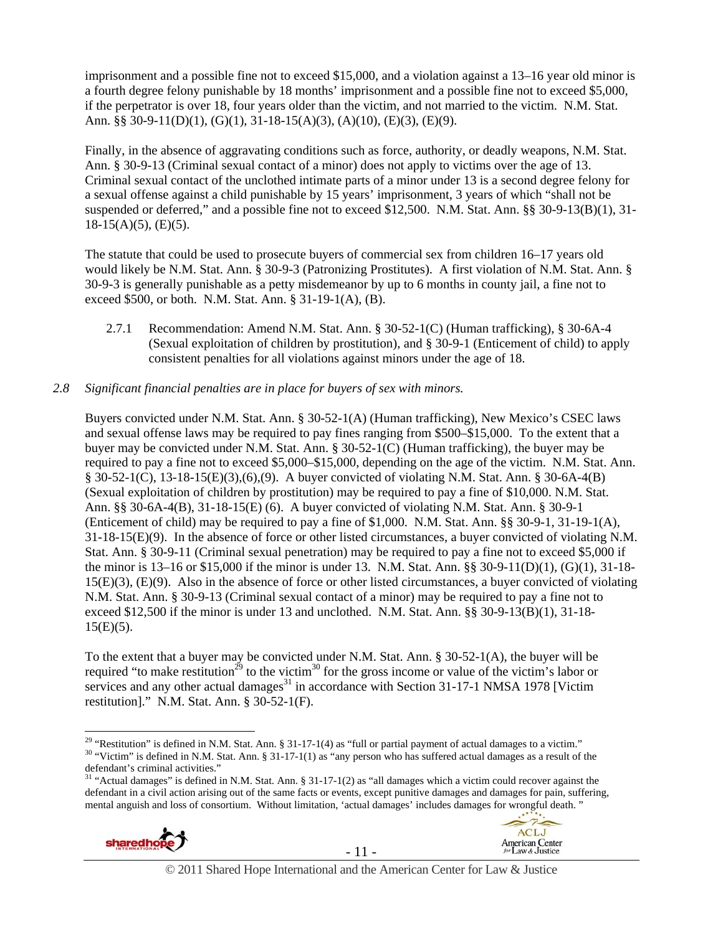imprisonment and a possible fine not to exceed \$15,000, and a violation against a 13–16 year old minor is a fourth degree felony punishable by 18 months' imprisonment and a possible fine not to exceed \$5,000, if the perpetrator is over 18, four years older than the victim, and not married to the victim. N.M. Stat. Ann. §§ 30-9-11(D)(1), (G)(1), 31-18-15(A)(3), (A)(10), (E)(3), (E)(9).

Finally, in the absence of aggravating conditions such as force, authority, or deadly weapons, N.M. Stat. Ann. § 30-9-13 (Criminal sexual contact of a minor) does not apply to victims over the age of 13. Criminal sexual contact of the unclothed intimate parts of a minor under 13 is a second degree felony for a sexual offense against a child punishable by 15 years' imprisonment, 3 years of which "shall not be suspended or deferred," and a possible fine not to exceed \$12,500. N.M. Stat. Ann. §§ 30-9-13(B)(1), 31-  $18-15(A)(5)$ , (E)(5).

The statute that could be used to prosecute buyers of commercial sex from children 16–17 years old would likely be N.M. Stat. Ann. § 30-9-3 (Patronizing Prostitutes). A first violation of N.M. Stat. Ann. § 30-9-3 is generally punishable as a petty misdemeanor by up to 6 months in county jail, a fine not to exceed \$500, or both. N.M. Stat. Ann. § 31-19-1(A), (B).

2.7.1 Recommendation: Amend N.M. Stat. Ann. § 30-52-1(C) (Human trafficking), § 30-6A-4 (Sexual exploitation of children by prostitution), and § 30-9-1 (Enticement of child) to apply consistent penalties for all violations against minors under the age of 18.

#### *2.8 Significant financial penalties are in place for buyers of sex with minors.*

Buyers convicted under N.M. Stat. Ann. § 30-52-1(A) (Human trafficking), New Mexico's CSEC laws and sexual offense laws may be required to pay fines ranging from \$500–\$15,000. To the extent that a buyer may be convicted under N.M. Stat. Ann. § 30-52-1(C) (Human trafficking), the buyer may be required to pay a fine not to exceed \$5,000–\$15,000, depending on the age of the victim. N.M. Stat. Ann. § 30-52-1(C), 13-18-15(E)(3),(6),(9). A buyer convicted of violating N.M. Stat. Ann. § 30-6A-4(B) (Sexual exploitation of children by prostitution) may be required to pay a fine of \$10,000. N.M. Stat. Ann. §§ 30-6A-4(B), 31-18-15(E) (6). A buyer convicted of violating N.M. Stat. Ann. § 30-9-1 (Enticement of child) may be required to pay a fine of \$1,000. N.M. Stat. Ann. §§ 30-9-1, 31-19-1(A), 31-18-15(E)(9). In the absence of force or other listed circumstances, a buyer convicted of violating N.M. Stat. Ann. § 30-9-11 (Criminal sexual penetration) may be required to pay a fine not to exceed \$5,000 if the minor is 13–16 or \$15,000 if the minor is under 13. N.M. Stat. Ann. §§ 30-9-11(D)(1), (G)(1), 31-18- 15(E)(3), (E)(9). Also in the absence of force or other listed circumstances, a buyer convicted of violating N.M. Stat. Ann. § 30-9-13 (Criminal sexual contact of a minor) may be required to pay a fine not to exceed \$12,500 if the minor is under 13 and unclothed. N.M. Stat. Ann. §§ 30-9-13(B)(1), 31-18-  $15(E)(5)$ .

To the extent that a buyer may be convicted under N.M. Stat. Ann. § 30-52-1(A), the buyer will be required "to make restitution<sup>29</sup> to the victim<sup>30</sup> for the gross income or value of the victim's labor or services and any other actual damages $31$  in accordance with Section 31-17-1 NMSA 1978 [Victim restitution]." N.M. Stat. Ann. § 30-52-1(F).

<sup>&</sup>lt;sup>31</sup> "Actual damages" is defined in N.M. Stat. Ann. § 31-17-1(2) as "all damages which a victim could recover against the defendant in a civil action arising out of the same facts or events, except punitive damages and damages for pain, suffering, mental anguish and loss of consortium. Without limitation, 'actual damages' includes damages for wrongful death. "





**ACLJ** 

<sup>&</sup>lt;sup>29</sup> "Restitution" is defined in N.M. Stat. Ann. § 31-17-1(4) as "full or partial payment of actual damages to a victim."

 $30$  "Victim" is defined in N.M. Stat. Ann. § 31-17-1(1) as "any person who has suffered actual damages as a result of the defendant's criminal activities."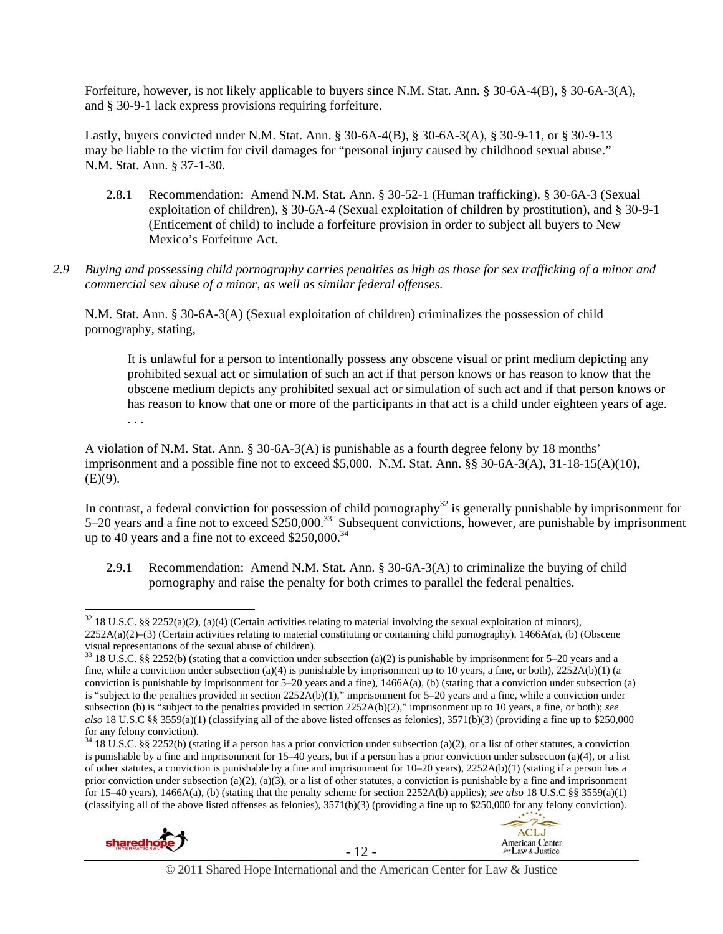Forfeiture, however, is not likely applicable to buyers since N.M. Stat. Ann. § 30-6A-4(B), § 30-6A-3(A), and § 30-9-1 lack express provisions requiring forfeiture.

Lastly, buyers convicted under N.M. Stat. Ann. § 30-6A-4(B), § 30-6A-3(A), § 30-9-11, or § 30-9-13 may be liable to the victim for civil damages for "personal injury caused by childhood sexual abuse." N.M. Stat. Ann. § 37-1-30.

- 2.8.1 Recommendation: Amend N.M. Stat. Ann. § 30-52-1 (Human trafficking), § 30-6A-3 (Sexual exploitation of children), § 30-6A-4 (Sexual exploitation of children by prostitution), and § 30-9-1 (Enticement of child) to include a forfeiture provision in order to subject all buyers to New Mexico's Forfeiture Act.
- *2.9 Buying and possessing child pornography carries penalties as high as those for sex trafficking of a minor and commercial sex abuse of a minor, as well as similar federal offenses.*

N.M. Stat. Ann. § 30-6A-3(A) (Sexual exploitation of children) criminalizes the possession of child pornography, stating,

It is unlawful for a person to intentionally possess any obscene visual or print medium depicting any prohibited sexual act or simulation of such an act if that person knows or has reason to know that the obscene medium depicts any prohibited sexual act or simulation of such act and if that person knows or has reason to know that one or more of the participants in that act is a child under eighteen years of age. . . .

A violation of N.M. Stat. Ann. § 30-6A-3(A) is punishable as a fourth degree felony by 18 months' imprisonment and a possible fine not to exceed \$5,000. N.M. Stat. Ann. §§ 30-6A-3(A), 31-18-15(A)(10),  $(E)(9)$ .

In contrast, a federal conviction for possession of child pornography<sup>32</sup> is generally punishable by imprisonment for 5–20 years and a fine not to exceed \$250,000.33 Subsequent convictions, however, are punishable by imprisonment up to 40 years and a fine not to exceed  $$250,000.<sup>34</sup>$ 

2.9.1 Recommendation: Amend N.M. Stat. Ann. § 30-6A-3(A) to criminalize the buying of child pornography and raise the penalty for both crimes to parallel the federal penalties.

 $34$  18 U.S.C. §§ 2252(b) (stating if a person has a prior conviction under subsection (a)(2), or a list of other statutes, a conviction is punishable by a fine and imprisonment for  $15-40$  years, but if a person has a prior conviction under subsection (a)(4), or a list of other statutes, a conviction is punishable by a fine and imprisonment for 10–20 years), 2252A(b)(1) (stating if a person has a prior conviction under subsection (a)(2), (a)(3), or a list of other statutes, a conviction is punishable by a fine and imprisonment for 15–40 years), 1466A(a), (b) (stating that the penalty scheme for section 2252A(b) applies); *see also* 18 U.S.C §§ 3559(a)(1) (classifying all of the above listed offenses as felonies), 3571(b)(3) (providing a fine up to \$250,000 for any felony conviction).





 $32$  18 U.S.C. §§ 2252(a)(2), (a)(4) (Certain activities relating to material involving the sexual exploitation of minors), 2252A(a)(2)–(3) (Certain activities relating to material constituting or containing child pornography), 1466A(a), (b) (Obscene visual representations of the sexual abuse of children).

 $33$  18 U.S.C. §§ 2252(b) (stating that a conviction under subsection (a)(2) is punishable by imprisonment for 5–20 years and a fine, while a conviction under subsection (a)(4) is punishable by imprisonment up to 10 years, a fine, or both),  $2252A(b)(1)$  (a conviction is punishable by imprisonment for  $5-20$  years and a fine), 1466A(a), (b) (stating that a conviction under subsection (a) is "subject to the penalties provided in section 2252A(b)(1)," imprisonment for 5–20 years and a fine, while a conviction under subsection (b) is "subject to the penalties provided in section 2252A(b)(2)," imprisonment up to 10 years, a fine, or both); *see also* 18 U.S.C §§ 3559(a)(1) (classifying all of the above listed offenses as felonies), 3571(b)(3) (providing a fine up to \$250,000 for any felony conviction).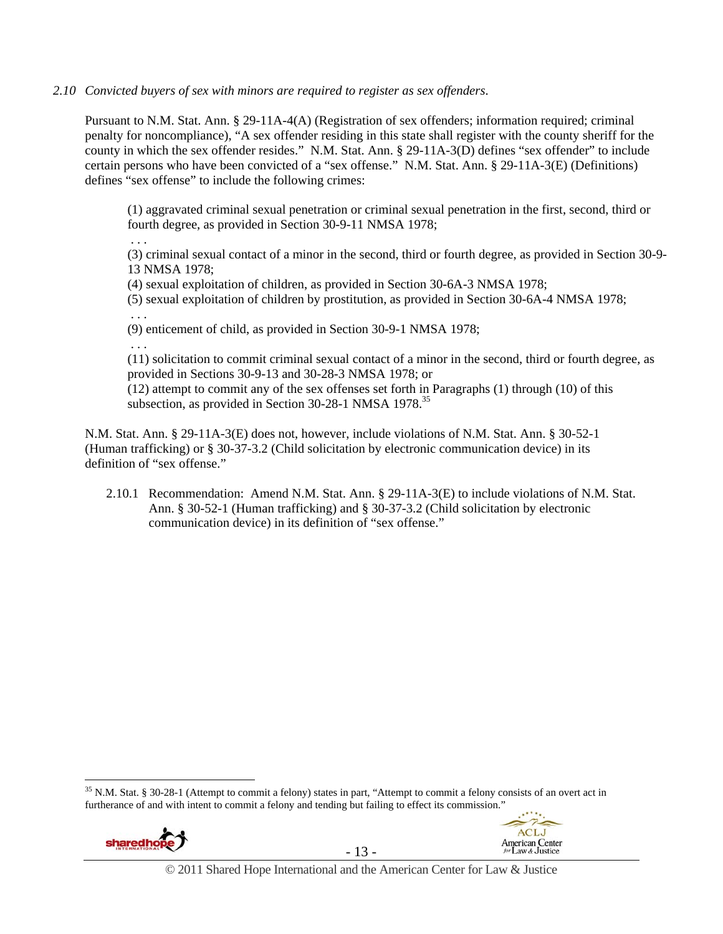#### *2.10 Convicted buyers of sex with minors are required to register as sex offenders*.

Pursuant to N.M. Stat. Ann. § 29-11A-4(A) (Registration of sex offenders; information required; criminal penalty for noncompliance), "A sex offender residing in this state shall register with the county sheriff for the county in which the sex offender resides." N.M. Stat. Ann. § 29-11A-3(D) defines "sex offender" to include certain persons who have been convicted of a "sex offense." N.M. Stat. Ann. § 29-11A-3(E) (Definitions) defines "sex offense" to include the following crimes:

(1) aggravated criminal sexual penetration or criminal sexual penetration in the first, second, third or fourth degree, as provided in Section 30-9-11 NMSA 1978;

. . .

(3) criminal sexual contact of a minor in the second, third or fourth degree, as provided in Section 30-9- 13 NMSA 1978;

(4) sexual exploitation of children, as provided in Section 30-6A-3 NMSA 1978;

(5) sexual exploitation of children by prostitution, as provided in Section 30-6A-4 NMSA 1978; . . .

(9) enticement of child, as provided in Section 30-9-1 NMSA 1978;

. . .

(11) solicitation to commit criminal sexual contact of a minor in the second, third or fourth degree, as provided in Sections 30-9-13 and 30-28-3 NMSA 1978; or

(12) attempt to commit any of the sex offenses set forth in Paragraphs (1) through (10) of this subsection, as provided in Section 30-28-1 NMSA  $1978$ <sup>35</sup>

N.M. Stat. Ann. § 29-11A-3(E) does not, however, include violations of N.M. Stat. Ann. § 30-52-1 (Human trafficking) or § 30-37-3.2 (Child solicitation by electronic communication device) in its definition of "sex offense."

2.10.1 Recommendation: Amend N.M. Stat. Ann. § 29-11A-3(E) to include violations of N.M. Stat. Ann. § 30-52-1 (Human trafficking) and § 30-37-3.2 (Child solicitation by electronic communication device) in its definition of "sex offense."

 $35$  N.M. Stat. § 30-28-1 (Attempt to commit a felony) states in part, "Attempt to commit a felony consists of an overt act in furtherance of and with intent to commit a felony and tending but failing to effect its commission."



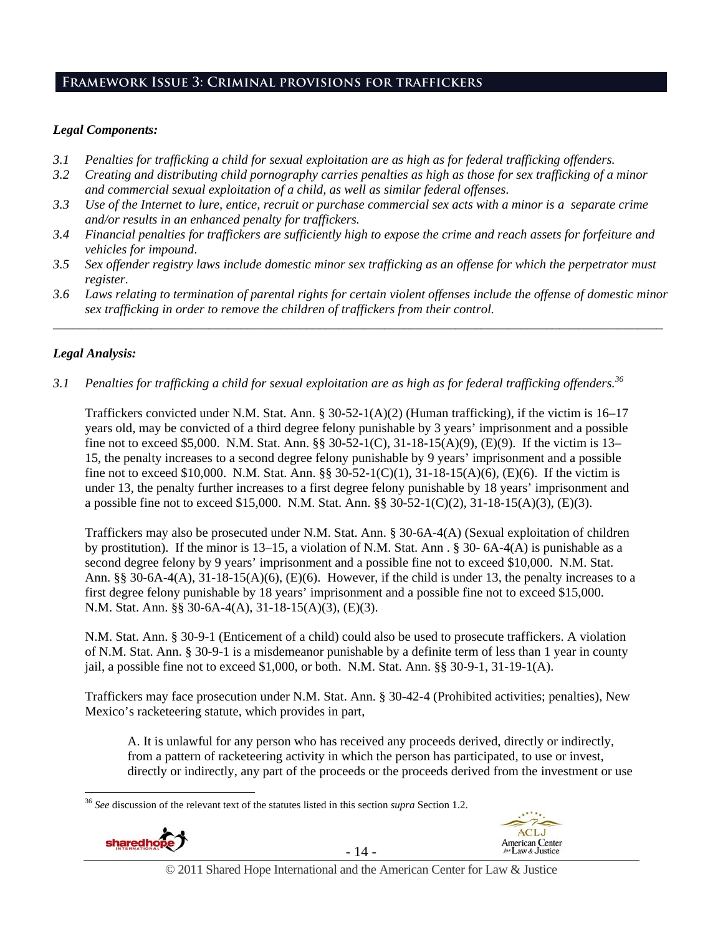## **Framework Issue 3: Criminal provisions for traffickers**

#### *Legal Components:*

- *3.1 Penalties for trafficking a child for sexual exploitation are as high as for federal trafficking offenders.*
- *3.2 Creating and distributing child pornography carries penalties as high as those for sex trafficking of a minor and commercial sexual exploitation of a child, as well as similar federal offenses*.
- *3.3 Use of the Internet to lure, entice, recruit or purchase commercial sex acts with a minor is a separate crime and/or results in an enhanced penalty for traffickers.*
- *3.4 Financial penalties for traffickers are sufficiently high to expose the crime and reach assets for forfeiture and vehicles for impound*.
- *3.5 Sex offender registry laws include domestic minor sex trafficking as an offense for which the perpetrator must register.*
- *3.6 Laws relating to termination of parental rights for certain violent offenses include the offense of domestic minor sex trafficking in order to remove the children of traffickers from their control. \_\_\_\_\_\_\_\_\_\_\_\_\_\_\_\_\_\_\_\_\_\_\_\_\_\_\_\_\_\_\_\_\_\_\_\_\_\_\_\_\_\_\_\_\_\_\_\_\_\_\_\_\_\_\_\_\_\_\_\_\_\_\_\_\_\_\_\_\_\_\_\_\_\_\_\_\_\_\_\_\_\_\_\_\_\_\_\_\_\_\_\_\_\_*

## *Legal Analysis:*

*3.1 Penalties for trafficking a child for sexual exploitation are as high as for federal trafficking offenders.36* 

Traffickers convicted under N.M. Stat. Ann. § 30-52-1(A)(2) (Human trafficking), if the victim is 16–17 years old, may be convicted of a third degree felony punishable by 3 years' imprisonment and a possible fine not to exceed \$5,000. N.M. Stat. Ann. §§ 30-52-1(C), 31-18-15(A)(9), (E)(9). If the victim is 13– 15, the penalty increases to a second degree felony punishable by 9 years' imprisonment and a possible fine not to exceed \$10,000. N.M. Stat. Ann. §§ 30-52-1(C)(1), 31-18-15(A)(6), (E)(6). If the victim is under 13, the penalty further increases to a first degree felony punishable by 18 years' imprisonment and a possible fine not to exceed \$15,000. N.M. Stat. Ann. §§ 30-52-1(C)(2), 31-18-15(A)(3), (E)(3).

Traffickers may also be prosecuted under N.M. Stat. Ann. § 30-6A-4(A) (Sexual exploitation of children by prostitution). If the minor is 13–15, a violation of N.M. Stat. Ann . § 30- 6A-4(A) is punishable as a second degree felony by 9 years' imprisonment and a possible fine not to exceed \$10,000. N.M. Stat. Ann. §§ 30-6A-4(A),  $31-18-15(A)(6)$ , (E)(6). However, if the child is under 13, the penalty increases to a first degree felony punishable by 18 years' imprisonment and a possible fine not to exceed \$15,000. N.M. Stat. Ann. §§ 30-6A-4(A), 31-18-15(A)(3), (E)(3).

N.M. Stat. Ann. § 30-9-1 (Enticement of a child) could also be used to prosecute traffickers. A violation of N.M. Stat. Ann. § 30-9-1 is a misdemeanor punishable by a definite term of less than 1 year in county jail, a possible fine not to exceed  $$1,000$ , or both. N.M. Stat. Ann.  $\S$ § 30-9-1, 31-19-1(A).

Traffickers may face prosecution under N.M. Stat. Ann. § 30-42-4 (Prohibited activities; penalties), New Mexico's racketeering statute, which provides in part,

A. It is unlawful for any person who has received any proceeds derived, directly or indirectly, from a pattern of racketeering activity in which the person has participated, to use or invest, directly or indirectly, any part of the proceeds or the proceeds derived from the investment or use

 $\overline{a}$ <sup>36</sup> *See* discussion of the relevant text of the statutes listed in this section *supra* Section 1.2.







© 2011 Shared Hope International and the American Center for Law & Justice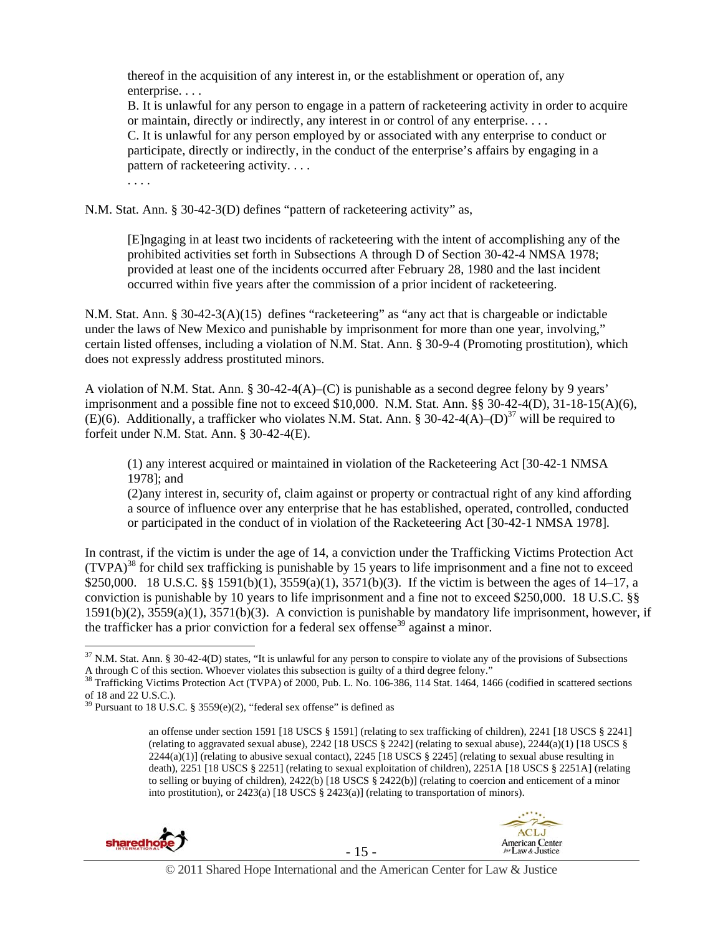thereof in the acquisition of any interest in, or the establishment or operation of, any enterprise. . . . B. It is unlawful for any person to engage in a pattern of racketeering activity in order to acquire or maintain, directly or indirectly, any interest in or control of any enterprise. . . . C. It is unlawful for any person employed by or associated with any enterprise to conduct or participate, directly or indirectly, in the conduct of the enterprise's affairs by engaging in a pattern of racketeering activity. . . . . . . .

N.M. Stat. Ann. § 30-42-3(D) defines "pattern of racketeering activity" as,

[E]ngaging in at least two incidents of racketeering with the intent of accomplishing any of the prohibited activities set forth in Subsections A through D of Section 30-42-4 NMSA 1978; provided at least one of the incidents occurred after February 28, 1980 and the last incident occurred within five years after the commission of a prior incident of racketeering.

N.M. Stat. Ann. § 30-42-3(A)(15) defines "racketeering" as "any act that is chargeable or indictable under the laws of New Mexico and punishable by imprisonment for more than one year, involving," certain listed offenses, including a violation of N.M. Stat. Ann. § 30-9-4 (Promoting prostitution), which does not expressly address prostituted minors.

A violation of N.M. Stat. Ann. § 30-42-4(A)–(C) is punishable as a second degree felony by 9 years' imprisonment and a possible fine not to exceed \$10,000. N.M. Stat. Ann.  $\S$ § 30-42-4(D), 31-18-15(A)(6), (E)(6). Additionally, a trafficker who violates N.M. Stat. Ann. § 30-42-4(A)–(D)<sup>37</sup> will be required to forfeit under N.M. Stat. Ann. § 30-42-4(E).

(1) any interest acquired or maintained in violation of the Racketeering Act [30-42-1 NMSA 1978]; and

(2)any interest in, security of, claim against or property or contractual right of any kind affording a source of influence over any enterprise that he has established, operated, controlled, conducted or participated in the conduct of in violation of the Racketeering Act [30-42-1 NMSA 1978].

In contrast, if the victim is under the age of 14, a conviction under the Trafficking Victims Protection Act  $(TVPA)^{38}$  for child sex trafficking is punishable by 15 years to life imprisonment and a fine not to exceed \$250,000. 18 U.S.C. §§ 1591(b)(1), 3559(a)(1), 3571(b)(3). If the victim is between the ages of 14–17, a conviction is punishable by 10 years to life imprisonment and a fine not to exceed \$250,000. 18 U.S.C. §§ 1591(b)(2), 3559(a)(1), 3571(b)(3). A conviction is punishable by mandatory life imprisonment, however, if the trafficker has a prior conviction for a federal sex offense<sup>39</sup> against a minor.

an offense under section 1591 [18 USCS § 1591] (relating to sex trafficking of children), 2241 [18 USCS § 2241] (relating to aggravated sexual abuse),  $2242$  [18 USCS § 2242] (relating to sexual abuse),  $2244(a)(1)$  [18 USCS §  $2244(a)(1)$  (relating to abusive sexual contact),  $2245$  [18 USCS § 2245] (relating to sexual abuse resulting in death), 2251 [18 USCS § 2251] (relating to sexual exploitation of children), 2251A [18 USCS § 2251A] (relating to selling or buying of children), 2422(b) [18 USCS § 2422(b)] (relating to coercion and enticement of a minor into prostitution), or 2423(a) [18 USCS § 2423(a)] (relating to transportation of minors).





 $37$  N.M. Stat. Ann. § 30-42-4(D) states, "It is unlawful for any person to conspire to violate any of the provisions of Subsections A through C of this section. Whoever violates this subsection is guilty of a third degree felony."<br><sup>38</sup> Trafficking Victims Protection Act (TVPA) of 2000, Pub. L. No. 106-386, 114 Stat. 1464, 1466 (codified in scattered se

of 18 and 22 U.S.C.).

 $39$  Pursuant to 18 U.S.C. § 3559(e)(2), "federal sex offense" is defined as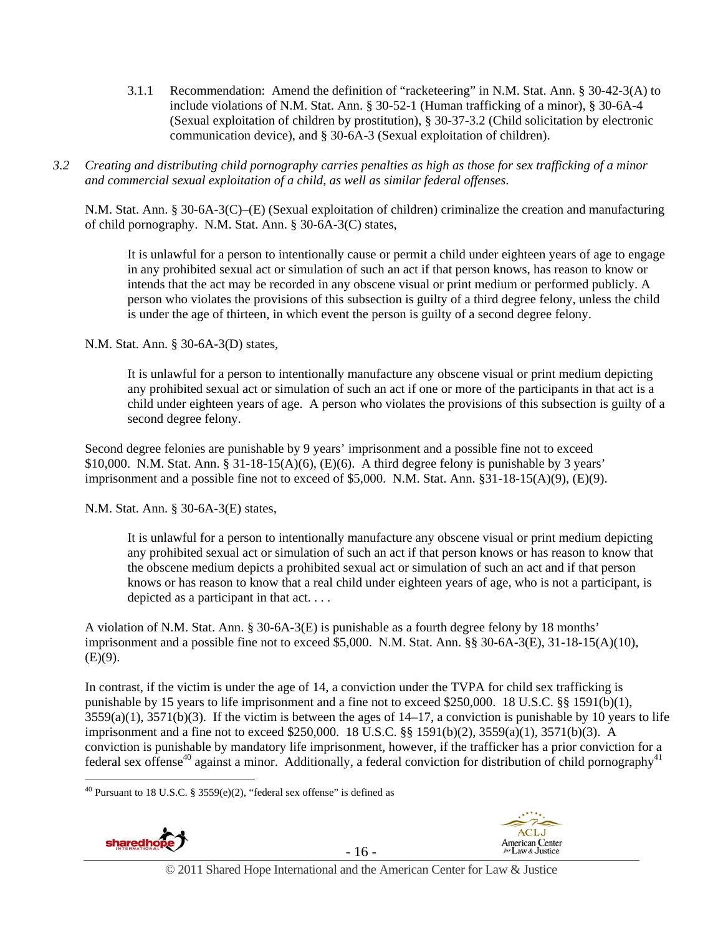- 3.1.1 Recommendation: Amend the definition of "racketeering" in N.M. Stat. Ann. § 30-42-3(A) to include violations of N.M. Stat. Ann. § 30-52-1 (Human trafficking of a minor), § 30-6A-4 (Sexual exploitation of children by prostitution), § 30-37-3.2 (Child solicitation by electronic communication device), and § 30-6A-3 (Sexual exploitation of children).
- *3.2 Creating and distributing child pornography carries penalties as high as those for sex trafficking of a minor and commercial sexual exploitation of a child, as well as similar federal offenses*.

N.M. Stat. Ann. § 30-6A-3(C)–(E) (Sexual exploitation of children) criminalize the creation and manufacturing of child pornography. N.M. Stat. Ann. § 30-6A-3(C) states,

It is unlawful for a person to intentionally cause or permit a child under eighteen years of age to engage in any prohibited sexual act or simulation of such an act if that person knows, has reason to know or intends that the act may be recorded in any obscene visual or print medium or performed publicly. A person who violates the provisions of this subsection is guilty of a third degree felony, unless the child is under the age of thirteen, in which event the person is guilty of a second degree felony.

N.M. Stat. Ann. § 30-6A-3(D) states,

It is unlawful for a person to intentionally manufacture any obscene visual or print medium depicting any prohibited sexual act or simulation of such an act if one or more of the participants in that act is a child under eighteen years of age. A person who violates the provisions of this subsection is guilty of a second degree felony.

Second degree felonies are punishable by 9 years' imprisonment and a possible fine not to exceed \$10,000. N.M. Stat. Ann. §  $31-18-15(A)(6)$ , (E)(6). A third degree felony is punishable by 3 years' imprisonment and a possible fine not to exceed of \$5,000. N.M. Stat. Ann. §31-18-15(A)(9), (E)(9).

N.M. Stat. Ann. § 30-6A-3(E) states,

It is unlawful for a person to intentionally manufacture any obscene visual or print medium depicting any prohibited sexual act or simulation of such an act if that person knows or has reason to know that the obscene medium depicts a prohibited sexual act or simulation of such an act and if that person knows or has reason to know that a real child under eighteen years of age, who is not a participant, is depicted as a participant in that act. . . .

A violation of N.M. Stat. Ann. § 30-6A-3(E) is punishable as a fourth degree felony by 18 months' imprisonment and a possible fine not to exceed \$5,000. N.M. Stat. Ann. §§ 30-6A-3(E), 31-18-15(A)(10),  $(E)(9)$ .

In contrast, if the victim is under the age of 14, a conviction under the TVPA for child sex trafficking is punishable by 15 years to life imprisonment and a fine not to exceed \$250,000. 18 U.S.C. §§ 1591(b)(1),  $3559(a)(1)$ ,  $3571(b)(3)$ . If the victim is between the ages of  $14-17$ , a conviction is punishable by 10 years to life imprisonment and a fine not to exceed \$250,000. 18 U.S.C. §§ 1591(b)(2), 3559(a)(1), 3571(b)(3). A conviction is punishable by mandatory life imprisonment, however, if the trafficker has a prior conviction for a federal sex offense<sup>40</sup> against a minor. Additionally, a federal conviction for distribution of child pornography<sup>41</sup>

 $\overline{a}$ <sup>40</sup> Pursuant to 18 U.S.C. § 3559 $(e)(2)$ , "federal sex offense" is defined as







© 2011 Shared Hope International and the American Center for Law & Justice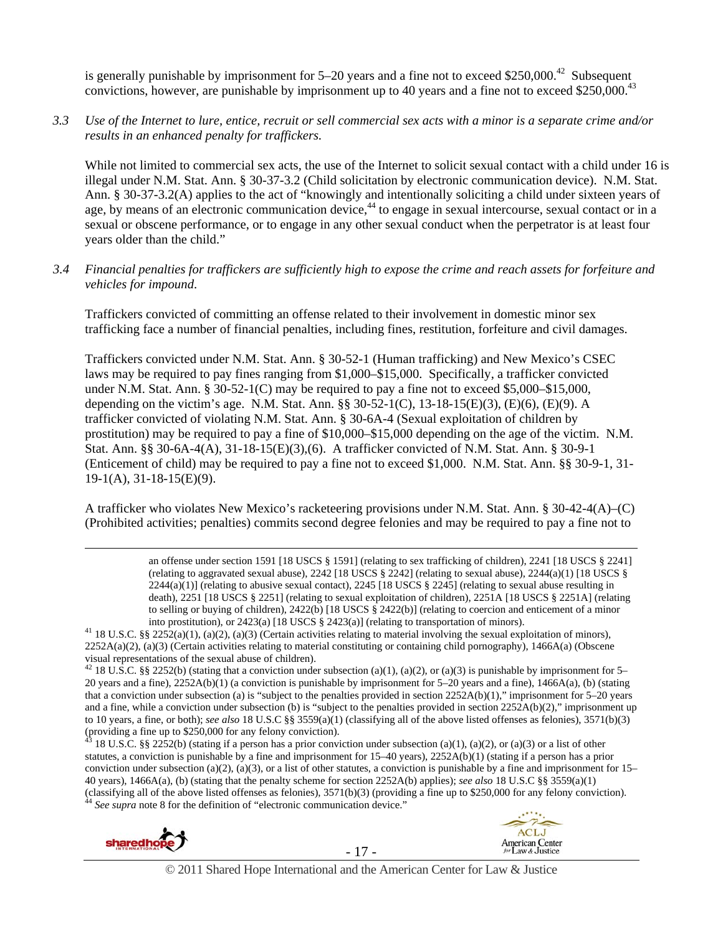is generally punishable by imprisonment for  $5-20$  years and a fine not to exceed \$250,000.<sup>42</sup> Subsequent convictions, however, are punishable by imprisonment up to 40 years and a fine not to exceed \$250,000.<sup>43</sup>

*3.3 Use of the Internet to lure, entice, recruit or sell commercial sex acts with a minor is a separate crime and/or results in an enhanced penalty for traffickers.* 

While not limited to commercial sex acts, the use of the Internet to solicit sexual contact with a child under 16 is illegal under N.M. Stat. Ann. § 30-37-3.2 (Child solicitation by electronic communication device). N.M. Stat. Ann. § 30-37-3.2(A) applies to the act of "knowingly and intentionally soliciting a child under sixteen years of age, by means of an electronic communication device,<sup>44</sup> to engage in sexual intercourse, sexual contact or in a sexual or obscene performance, or to engage in any other sexual conduct when the perpetrator is at least four years older than the child."

*3.4 Financial penalties for traffickers are sufficiently high to expose the crime and reach assets for forfeiture and vehicles for impound*.

Traffickers convicted of committing an offense related to their involvement in domestic minor sex trafficking face a number of financial penalties, including fines, restitution, forfeiture and civil damages.

Traffickers convicted under N.M. Stat. Ann. § 30-52-1 (Human trafficking) and New Mexico's CSEC laws may be required to pay fines ranging from \$1,000–\$15,000. Specifically, a trafficker convicted under N.M. Stat. Ann. § 30-52-1(C) may be required to pay a fine not to exceed \$5,000–\$15,000, depending on the victim's age. N.M. Stat. Ann. §§ 30-52-1(C), 13-18-15(E)(3), (E)(6), (E)(9). A trafficker convicted of violating N.M. Stat. Ann. § 30-6A-4 (Sexual exploitation of children by prostitution) may be required to pay a fine of \$10,000–\$15,000 depending on the age of the victim. N.M. Stat. Ann. §§ 30-6A-4(A), 31-18-15(E)(3),(6). A trafficker convicted of N.M. Stat. Ann. § 30-9-1 (Enticement of child) may be required to pay a fine not to exceed \$1,000. N.M. Stat. Ann. §§ 30-9-1, 31- 19-1(A), 31-18-15(E)(9).

A trafficker who violates New Mexico's racketeering provisions under N.M. Stat. Ann. § 30-42-4(A)–(C) (Prohibited activities; penalties) commits second degree felonies and may be required to pay a fine not to

> an offense under section 1591 [18 USCS § 1591] (relating to sex trafficking of children), 2241 [18 USCS § 2241] (relating to aggravated sexual abuse),  $2242$  [18 USCS § 2242] (relating to sexual abuse),  $2244(a)(1)$  [18 USCS §  $2244(a)(1)$  (relating to abusive sexual contact),  $2245$  [18 USCS § 2245] (relating to sexual abuse resulting in death), 2251 [18 USCS § 2251] (relating to sexual exploitation of children), 2251A [18 USCS § 2251A] (relating to selling or buying of children), 2422(b) [18 USCS § 2422(b)] (relating to coercion and enticement of a minor

into prostitution), or 2423(a) [18 USCS § 2423(a)] (relating to transportation of minors).<br><sup>41</sup> 18 U.S.C. §§ 2252(a)(1), (a)(2), (a)(3) (Certain activities relating to material involving the sexual exploitation of minors)  $2252A(a)(2)$ , (a)(3) (Certain activities relating to material constituting or containing child pornography), 1466A(a) (Obscene visual representations of the sexual abuse of children).

 $43$  18 U.S.C. §§ 2252(b) (stating if a person has a prior conviction under subsection (a)(1), (a)(2), or (a)(3) or a list of other statutes, a conviction is punishable by a fine and imprisonment for 15–40 years), 2252A(b)(1) (stating if a person has a prior conviction under subsection (a)(2), (a)(3), or a list of other statutes, a conviction is punishable by a fine and imprisonment for  $15-$ 40 years), 1466A(a), (b) (stating that the penalty scheme for section 2252A(b) applies); *see also* 18 U.S.C §§ 3559(a)(1) (classifying all of the above listed offenses as felonies), 3571(b)(3) (providing a fine up to \$250,000 for any felony conviction). 44 *See supra* note 8 for the definition of "electronic communication device."







<sup>&</sup>lt;sup>42</sup> 18 U.S.C. §§ 2252(b) (stating that a conviction under subsection (a)(1), (a)(2), or (a)(3) is punishable by imprisonment for 5– 20 years and a fine), 2252A(b)(1) (a conviction is punishable by imprisonment for 5–20 years and a fine), 1466A(a), (b) (stating that a conviction under subsection (a) is "subject to the penalties provided in section 2252A(b)(1)," imprisonment for 5–20 years and a fine, while a conviction under subsection (b) is "subject to the penalties provided in section 2252A(b)(2)," imprisonment up to 10 years, a fine, or both); *see also* 18 U.S.C §§ 3559(a)(1) (classifying all of the above listed offenses as felonies), 3571(b)(3) (providing a fine up to \$250,000 for any felony conviction).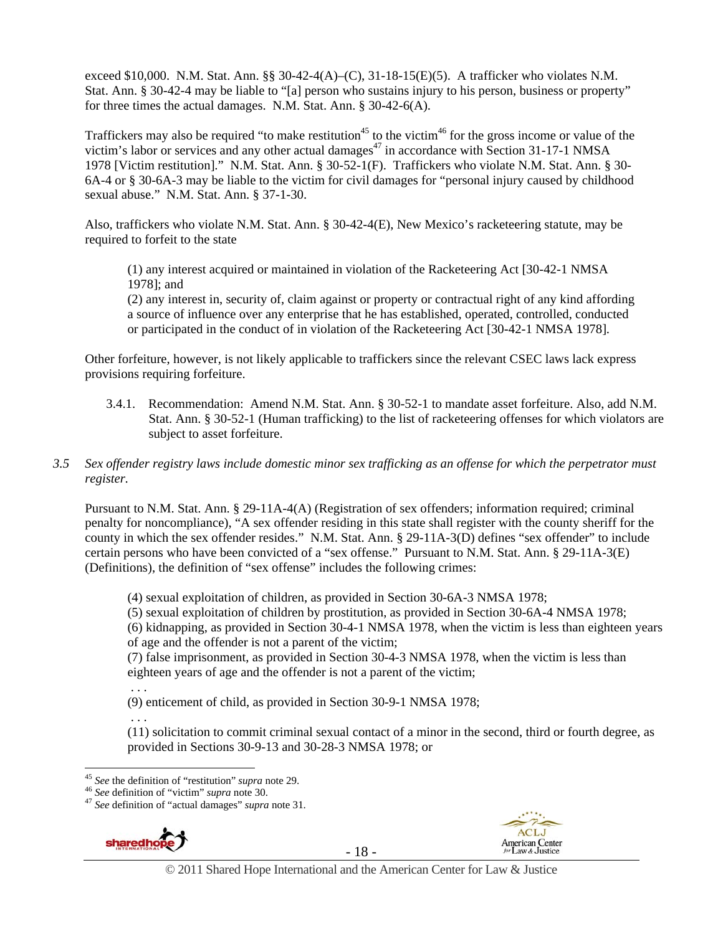exceed \$10,000. N.M. Stat. Ann. §§ 30-42-4(A)–(C), 31-18-15(E)(5). A trafficker who violates N.M. Stat. Ann. § 30-42-4 may be liable to "[a] person who sustains injury to his person, business or property" for three times the actual damages. N.M. Stat. Ann. § 30-42-6(A).

Traffickers may also be required "to make restitution<sup>45</sup> to the victim<sup>46</sup> for the gross income or value of the victim's labor or services and any other actual damages<sup>47</sup> in accordance with Section 31-17-1 NMSA 1978 [Victim restitution]." N.M. Stat. Ann. § 30-52-1(F). Traffickers who violate N.M. Stat. Ann. § 30- 6A-4 or § 30-6A-3 may be liable to the victim for civil damages for "personal injury caused by childhood sexual abuse." N.M. Stat. Ann. § 37-1-30.

Also, traffickers who violate N.M. Stat. Ann. § 30-42-4(E), New Mexico's racketeering statute, may be required to forfeit to the state

(1) any interest acquired or maintained in violation of the Racketeering Act [30-42-1 NMSA 1978]; and

(2) any interest in, security of, claim against or property or contractual right of any kind affording a source of influence over any enterprise that he has established, operated, controlled, conducted or participated in the conduct of in violation of the Racketeering Act [30-42-1 NMSA 1978].

Other forfeiture, however, is not likely applicable to traffickers since the relevant CSEC laws lack express provisions requiring forfeiture.

3.4.1. Recommendation: Amend N.M. Stat. Ann. § 30-52-1 to mandate asset forfeiture. Also, add N.M. Stat. Ann. § 30-52-1 (Human trafficking) to the list of racketeering offenses for which violators are subject to asset forfeiture.

#### *3.5 Sex offender registry laws include domestic minor sex trafficking as an offense for which the perpetrator must register.*

Pursuant to N.M. Stat. Ann. § 29-11A-4(A) (Registration of sex offenders; information required; criminal penalty for noncompliance), "A sex offender residing in this state shall register with the county sheriff for the county in which the sex offender resides." N.M. Stat. Ann. § 29-11A-3(D) defines "sex offender" to include certain persons who have been convicted of a "sex offense." Pursuant to N.M. Stat. Ann. § 29-11A-3(E) (Definitions), the definition of "sex offense" includes the following crimes:

(4) sexual exploitation of children, as provided in Section 30-6A-3 NMSA 1978;

(5) sexual exploitation of children by prostitution, as provided in Section 30-6A-4 NMSA 1978;

(6) kidnapping, as provided in Section 30-4-1 NMSA 1978, when the victim is less than eighteen years of age and the offender is not a parent of the victim;

(7) false imprisonment, as provided in Section 30-4-3 NMSA 1978, when the victim is less than eighteen years of age and the offender is not a parent of the victim;

. . .

(9) enticement of child, as provided in Section 30-9-1 NMSA 1978;

 . . . (11) solicitation to commit criminal sexual contact of a minor in the second, third or fourth degree, as provided in Sections 30-9-13 and 30-28-3 NMSA 1978; or

<sup>&</sup>lt;sup>46</sup> *See* definition of "victim" *supra* note 30.<br><sup>47</sup> *See* definition of "actual damages" *supra* note 31.





 $45$  See the definition of "restitution" supra note 29.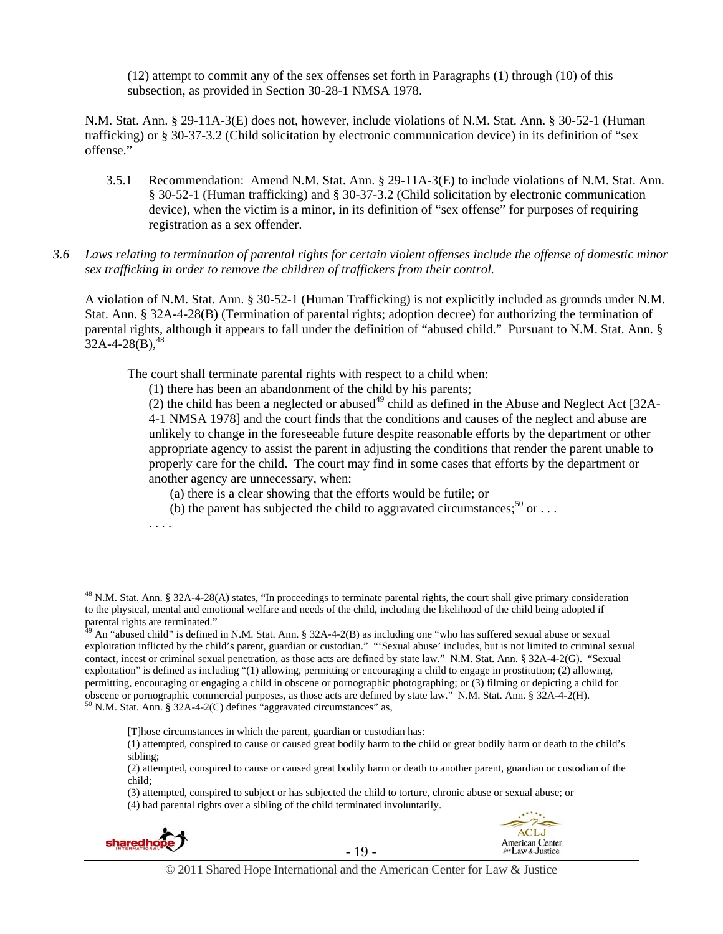(12) attempt to commit any of the sex offenses set forth in Paragraphs (1) through (10) of this subsection, as provided in Section 30-28-1 NMSA 1978.

N.M. Stat. Ann. § 29-11A-3(E) does not, however, include violations of N.M. Stat. Ann. § 30-52-1 (Human trafficking) or § 30-37-3.2 (Child solicitation by electronic communication device) in its definition of "sex offense."

- 3.5.1 Recommendation: Amend N.M. Stat. Ann. § 29-11A-3(E) to include violations of N.M. Stat. Ann. § 30-52-1 (Human trafficking) and § 30-37-3.2 (Child solicitation by electronic communication device), when the victim is a minor, in its definition of "sex offense" for purposes of requiring registration as a sex offender.
- *3.6 Laws relating to termination of parental rights for certain violent offenses include the offense of domestic minor sex trafficking in order to remove the children of traffickers from their control.*

A violation of N.M. Stat. Ann. § 30-52-1 (Human Trafficking) is not explicitly included as grounds under N.M. Stat. Ann. § 32A-4-28(B) (Termination of parental rights; adoption decree) for authorizing the termination of parental rights, although it appears to fall under the definition of "abused child." Pursuant to N.M. Stat. Ann. §  $32A-4-28(B)$ ,  $48$ 

The court shall terminate parental rights with respect to a child when:

(1) there has been an abandonment of the child by his parents;

(2) the child has been a neglected or abused<sup>49</sup> child as defined in the Abuse and Neglect Act [32A-4-1 NMSA 1978] and the court finds that the conditions and causes of the neglect and abuse are unlikely to change in the foreseeable future despite reasonable efforts by the department or other appropriate agency to assist the parent in adjusting the conditions that render the parent unable to properly care for the child. The court may find in some cases that efforts by the department or another agency are unnecessary, when:

(a) there is a clear showing that the efforts would be futile; or

(b) the parent has subjected the child to aggravated circumstances;<sup>50</sup> or  $\dots$ 

. . . .

<sup>(4)</sup> had parental rights over a sibling of the child terminated involuntarily.







 $^{48}$  N.M. Stat. Ann. § 32A-4-28(A) states, "In proceedings to terminate parental rights, the court shall give primary consideration to the physical, mental and emotional welfare and needs of the child, including the likelihood of the child being adopted if parental rights are terminated."

 $^{49}$  An "abused child" is defined in N.M. Stat. Ann. § 32A-4-2(B) as including one "who has suffered sexual abuse or sexual exploitation inflicted by the child's parent, guardian or custodian." "'Sexual abuse' includes, but is not limited to criminal sexual contact, incest or criminal sexual penetration, as those acts are defined by state law." N.M. Stat. Ann. § 32A-4-2(G). "Sexual exploitation" is defined as including "(1) allowing, permitting or encouraging a child to engage in prostitution; (2) allowing, permitting, encouraging or engaging a child in obscene or pornographic photographing; or (3) filming or depicting a child for obscene or pornographic commercial purposes, as those acts are defined by state law." N.M. Stat. Ann. § 32A-4-2(H). 50 N.M. Stat. Ann. § 32A-4-2(C) defines "aggravated circumstances" as,

<sup>[</sup>T]hose circumstances in which the parent, guardian or custodian has:

<sup>(1)</sup> attempted, conspired to cause or caused great bodily harm to the child or great bodily harm or death to the child's sibling;

<sup>(2)</sup> attempted, conspired to cause or caused great bodily harm or death to another parent, guardian or custodian of the child;

<sup>(3)</sup> attempted, conspired to subject or has subjected the child to torture, chronic abuse or sexual abuse; or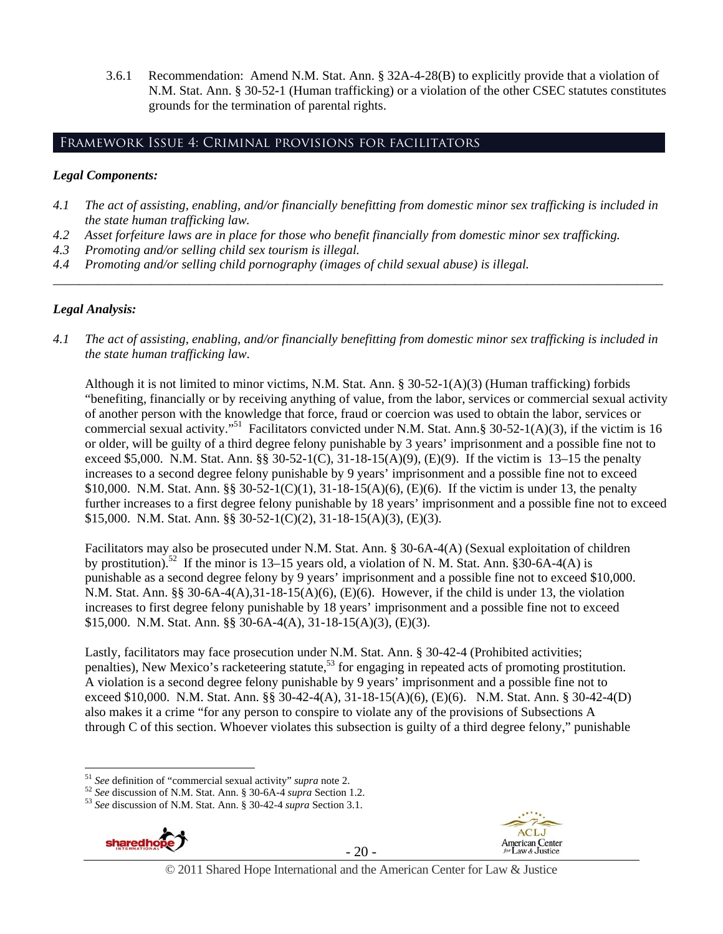3.6.1 Recommendation: Amend N.M. Stat. Ann. § 32A-4-28(B) to explicitly provide that a violation of N.M. Stat. Ann. § 30-52-1 (Human trafficking) or a violation of the other CSEC statutes constitutes grounds for the termination of parental rights.

## Framework Issue 4: Criminal provisions for facilitators

#### *Legal Components:*

- *4.1 The act of assisting, enabling, and/or financially benefitting from domestic minor sex trafficking is included in the state human trafficking law.*
- *4.2 Asset forfeiture laws are in place for those who benefit financially from domestic minor sex trafficking.*
- *4.3 Promoting and/or selling child sex tourism is illegal.*
- *4.4 Promoting and/or selling child pornography (images of child sexual abuse) is illegal.*

#### *Legal Analysis:*

*4.1 The act of assisting, enabling, and/or financially benefitting from domestic minor sex trafficking is included in the state human trafficking law*.

*\_\_\_\_\_\_\_\_\_\_\_\_\_\_\_\_\_\_\_\_\_\_\_\_\_\_\_\_\_\_\_\_\_\_\_\_\_\_\_\_\_\_\_\_\_\_\_\_\_\_\_\_\_\_\_\_\_\_\_\_\_\_\_\_\_\_\_\_\_\_\_\_\_\_\_\_\_\_\_\_\_\_\_\_\_\_\_\_\_\_\_\_\_\_* 

Although it is not limited to minor victims, N.M. Stat. Ann. § 30-52-1(A)(3) (Human trafficking) forbids "benefiting, financially or by receiving anything of value, from the labor, services or commercial sexual activity of another person with the knowledge that force, fraud or coercion was used to obtain the labor, services or commercial sexual activity."<sup>51</sup> Facilitators convicted under N.M. Stat. Ann. § 30-52-1(A)(3), if the victim is 16 or older, will be guilty of a third degree felony punishable by 3 years' imprisonment and a possible fine not to exceed \$5,000. N.M. Stat. Ann. §§ 30-52-1(C), 31-18-15(A)(9), (E)(9). If the victim is 13–15 the penalty increases to a second degree felony punishable by 9 years' imprisonment and a possible fine not to exceed \$10,000. N.M. Stat. Ann. §§ 30-52-1(C)(1), 31-18-15(A)(6), (E)(6). If the victim is under 13, the penalty further increases to a first degree felony punishable by 18 years' imprisonment and a possible fine not to exceed \$15,000. N.M. Stat. Ann. §§ 30-52-1(C)(2), 31-18-15(A)(3), (E)(3).

Facilitators may also be prosecuted under N.M. Stat. Ann. § 30-6A-4(A) (Sexual exploitation of children by prostitution).<sup>52</sup> If the minor is 13–15 years old, a violation of N. M. Stat. Ann.  $\hat{830}$ -6A-4(A) is punishable as a second degree felony by 9 years' imprisonment and a possible fine not to exceed \$10,000. N.M. Stat. Ann. §§ 30-6A-4(A),31-18-15(A)(6), (E)(6). However, if the child is under 13, the violation increases to first degree felony punishable by 18 years' imprisonment and a possible fine not to exceed \$15,000. N.M. Stat. Ann. §§ 30-6A-4(A), 31-18-15(A)(3), (E)(3).

Lastly, facilitators may face prosecution under N.M. Stat. Ann. § 30-42-4 (Prohibited activities; penalties), New Mexico's racketeering statute,<sup>53</sup> for engaging in repeated acts of promoting prostitution. A violation is a second degree felony punishable by 9 years' imprisonment and a possible fine not to exceed \$10,000. N.M. Stat. Ann. §§ 30-42-4(A), 31-18-15(A)(6), (E)(6). N.M. Stat. Ann. § 30-42-4(D) also makes it a crime "for any person to conspire to violate any of the provisions of Subsections A through C of this section. Whoever violates this subsection is guilty of a third degree felony," punishable





**ACLJ** 



 $51$  See definition of "commercial sexual activity" supra note 2.

<sup>&</sup>lt;sup>52</sup> See discussion of N.M. Stat. Ann. § 30-6A-4 supra Section 1.2.<br><sup>53</sup> See discussion of N.M. Stat. Ann. § 30-42-4 supra Section 3.1.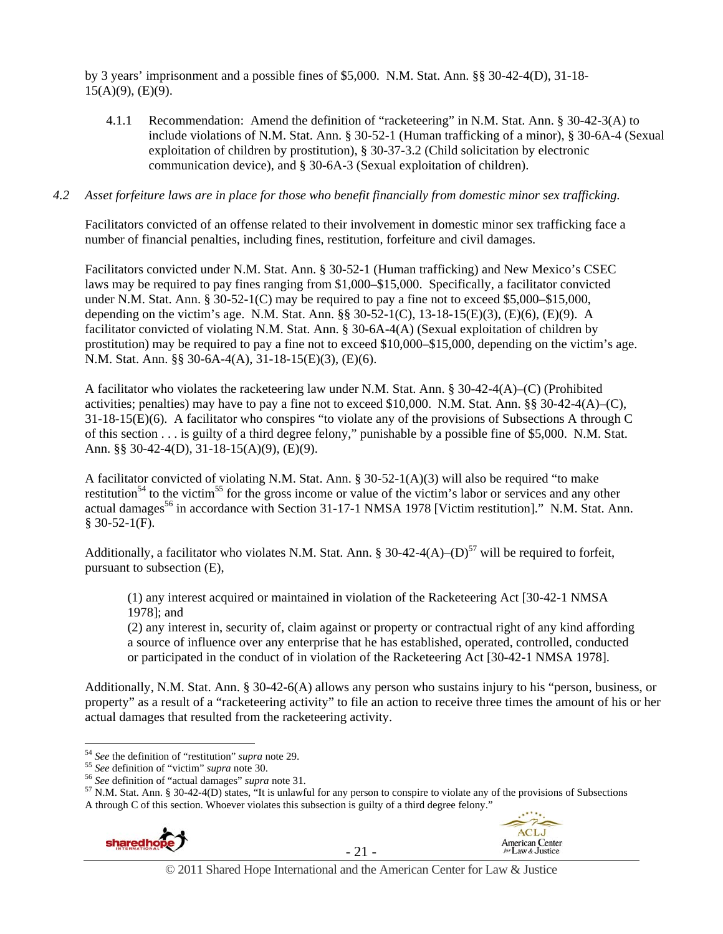by 3 years' imprisonment and a possible fines of \$5,000. N.M. Stat. Ann. §§ 30-42-4(D), 31-18-  $15(A)(9)$ , (E)(9).

4.1.1 Recommendation: Amend the definition of "racketeering" in N.M. Stat. Ann. § 30-42-3(A) to include violations of N.M. Stat. Ann. § 30-52-1 (Human trafficking of a minor), § 30-6A-4 (Sexual exploitation of children by prostitution), § 30-37-3.2 (Child solicitation by electronic communication device), and § 30-6A-3 (Sexual exploitation of children).

#### *4.2 Asset forfeiture laws are in place for those who benefit financially from domestic minor sex trafficking.*

Facilitators convicted of an offense related to their involvement in domestic minor sex trafficking face a number of financial penalties, including fines, restitution, forfeiture and civil damages.

Facilitators convicted under N.M. Stat. Ann. § 30-52-1 (Human trafficking) and New Mexico's CSEC laws may be required to pay fines ranging from \$1,000–\$15,000. Specifically, a facilitator convicted under N.M. Stat. Ann. § 30-52-1(C) may be required to pay a fine not to exceed \$5,000–\$15,000, depending on the victim's age. N.M. Stat. Ann. §§ 30-52-1(C), 13-18-15(E)(3), (E)(6), (E)(9). A facilitator convicted of violating N.M. Stat. Ann. § 30-6A-4(A) (Sexual exploitation of children by prostitution) may be required to pay a fine not to exceed \$10,000–\$15,000, depending on the victim's age. N.M. Stat. Ann. §§ 30-6A-4(A), 31-18-15(E)(3), (E)(6).

A facilitator who violates the racketeering law under N.M. Stat. Ann. § 30-42-4(A)–(C) (Prohibited activities; penalties) may have to pay a fine not to exceed \$10,000. N.M. Stat. Ann. §§ 30-42-4(A)–(C), 31-18-15(E)(6). A facilitator who conspires "to violate any of the provisions of Subsections A through C of this section . . . is guilty of a third degree felony," punishable by a possible fine of \$5,000. N.M. Stat. Ann. §§ 30-42-4(D), 31-18-15(A)(9), (E)(9).

A facilitator convicted of violating N.M. Stat. Ann. § 30-52-1(A)(3) will also be required "to make restitution<sup>54</sup> to the victim<sup>55</sup> for the gross income or value of the victim's labor or services and any other actual damages<sup>56</sup> in accordance with Section 31-17-1 NMSA 1978 [Victim restitution]." N.M. Stat. Ann.  $$30-52-1(F).$ 

Additionally, a facilitator who violates N.M. Stat. Ann. § 30-42-4(A)–(D)<sup>57</sup> will be required to forfeit, pursuant to subsection (E),

(1) any interest acquired or maintained in violation of the Racketeering Act [30-42-1 NMSA 1978]; and

(2) any interest in, security of, claim against or property or contractual right of any kind affording a source of influence over any enterprise that he has established, operated, controlled, conducted or participated in the conduct of in violation of the Racketeering Act [30-42-1 NMSA 1978].

Additionally, N.M. Stat. Ann. § 30-42-6(A) allows any person who sustains injury to his "person, business, or property" as a result of a "racketeering activity" to file an action to receive three times the amount of his or her actual damages that resulted from the racketeering activity.

A through C of this section. Whoever violates this subsection is guilty of a third degree felony."







<sup>&</sup>lt;sup>54</sup> See the definition of "restitution" *supra* note 29.<br>
<sup>55</sup> See definition of "victim" *supra* note 30.<br>
<sup>56</sup> See definition of "actual damages" *supra* note 31.<br>
<sup>56</sup> See definition of "actual damages" *supra* note 3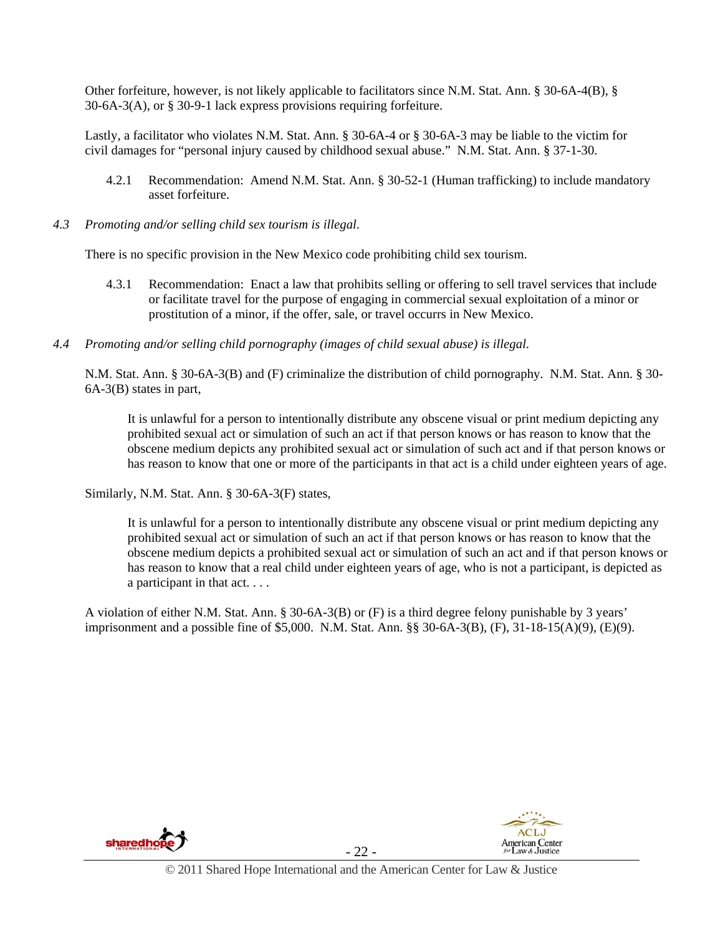Other forfeiture, however, is not likely applicable to facilitators since N.M. Stat. Ann. § 30-6A-4(B), § 30-6A-3(A), or § 30-9-1 lack express provisions requiring forfeiture.

Lastly, a facilitator who violates N.M. Stat. Ann. § 30-6A-4 or § 30-6A-3 may be liable to the victim for civil damages for "personal injury caused by childhood sexual abuse." N.M. Stat. Ann. § 37-1-30.

- 4.2.1 Recommendation: Amend N.M. Stat. Ann. § 30-52-1 (Human trafficking) to include mandatory asset forfeiture.
- *4.3 Promoting and/or selling child sex tourism is illegal*.

There is no specific provision in the New Mexico code prohibiting child sex tourism.

- 4.3.1 Recommendation: Enact a law that prohibits selling or offering to sell travel services that include or facilitate travel for the purpose of engaging in commercial sexual exploitation of a minor or prostitution of a minor, if the offer, sale, or travel occurrs in New Mexico.
- *4.4 Promoting and/or selling child pornography (images of child sexual abuse) is illegal*.

N.M. Stat. Ann. § 30-6A-3(B) and (F) criminalize the distribution of child pornography. N.M. Stat. Ann. § 30- 6A-3(B) states in part,

It is unlawful for a person to intentionally distribute any obscene visual or print medium depicting any prohibited sexual act or simulation of such an act if that person knows or has reason to know that the obscene medium depicts any prohibited sexual act or simulation of such act and if that person knows or has reason to know that one or more of the participants in that act is a child under eighteen years of age.

Similarly, N.M. Stat. Ann. § 30-6A-3(F) states,

It is unlawful for a person to intentionally distribute any obscene visual or print medium depicting any prohibited sexual act or simulation of such an act if that person knows or has reason to know that the obscene medium depicts a prohibited sexual act or simulation of such an act and if that person knows or has reason to know that a real child under eighteen years of age, who is not a participant, is depicted as a participant in that act. . . .

A violation of either N.M. Stat. Ann. § 30-6A-3(B) or (F) is a third degree felony punishable by 3 years' imprisonment and a possible fine of \$5,000. N.M. Stat. Ann. §§ 30-6A-3(B), (F), 31-18-15(A)(9), (E)(9).



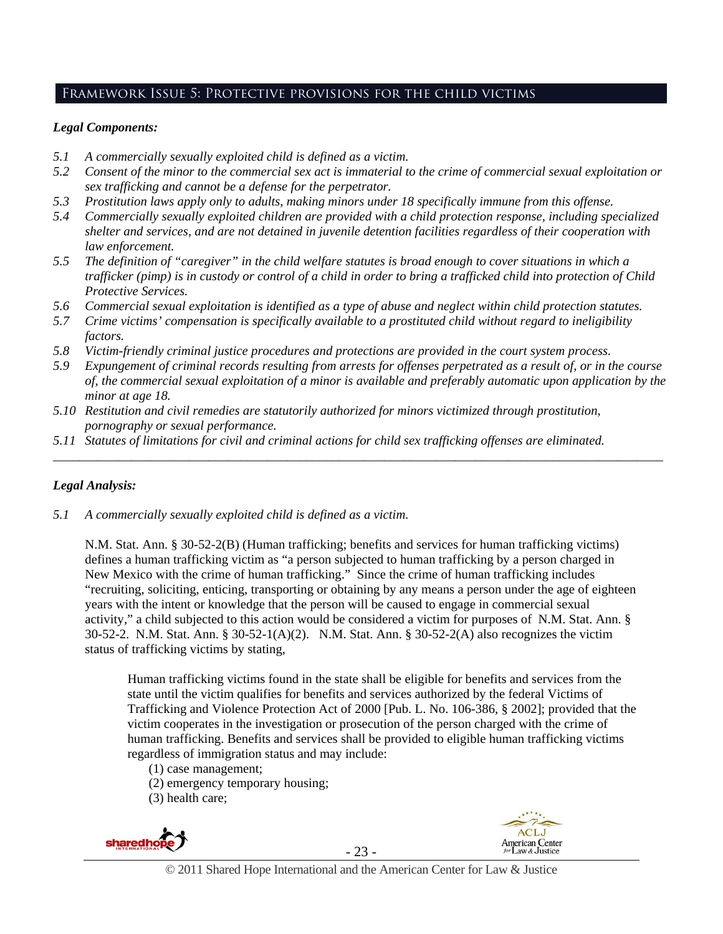# Framework Issue 5: Protective provisions for the child victims

## *Legal Components:*

- *5.1 A commercially sexually exploited child is defined as a victim.*
- *5.2 Consent of the minor to the commercial sex act is immaterial to the crime of commercial sexual exploitation or sex trafficking and cannot be a defense for the perpetrator.*
- *5.3 Prostitution laws apply only to adults, making minors under 18 specifically immune from this offense.*
- *5.4 Commercially sexually exploited children are provided with a child protection response, including specialized shelter and services, and are not detained in juvenile detention facilities regardless of their cooperation with law enforcement.*
- *5.5 The definition of "caregiver" in the child welfare statutes is broad enough to cover situations in which a trafficker (pimp) is in custody or control of a child in order to bring a trafficked child into protection of Child Protective Services.*
- *5.6 Commercial sexual exploitation is identified as a type of abuse and neglect within child protection statutes.*
- *5.7 Crime victims' compensation is specifically available to a prostituted child without regard to ineligibility factors.*
- *5.8 Victim-friendly criminal justice procedures and protections are provided in the court system process.*
- *5.9 Expungement of criminal records resulting from arrests for offenses perpetrated as a result of, or in the course of, the commercial sexual exploitation of a minor is available and preferably automatic upon application by the minor at age 18.*

*\_\_\_\_\_\_\_\_\_\_\_\_\_\_\_\_\_\_\_\_\_\_\_\_\_\_\_\_\_\_\_\_\_\_\_\_\_\_\_\_\_\_\_\_\_\_\_\_\_\_\_\_\_\_\_\_\_\_\_\_\_\_\_\_\_\_\_\_\_\_\_\_\_\_\_\_\_\_\_\_\_\_\_\_\_\_\_\_\_\_\_\_\_\_* 

- *5.10 Restitution and civil remedies are statutorily authorized for minors victimized through prostitution, pornography or sexual performance.*
- *5.11 Statutes of limitations for civil and criminal actions for child sex trafficking offenses are eliminated.*

## *Legal Analysis:*

*5.1 A commercially sexually exploited child is defined as a victim.* 

N.M. Stat. Ann. § 30-52-2(B) (Human trafficking; benefits and services for human trafficking victims) defines a human trafficking victim as "a person subjected to human trafficking by a person charged in New Mexico with the crime of human trafficking." Since the crime of human trafficking includes "recruiting, soliciting, enticing, transporting or obtaining by any means a person under the age of eighteen years with the intent or knowledge that the person will be caused to engage in commercial sexual activity," a child subjected to this action would be considered a victim for purposes of N.M. Stat. Ann. § 30-52-2. N.M. Stat. Ann. § 30-52-1(A)(2). N.M. Stat. Ann. § 30-52-2(A) also recognizes the victim status of trafficking victims by stating,

Human trafficking victims found in the state shall be eligible for benefits and services from the state until the victim qualifies for benefits and services authorized by the federal Victims of Trafficking and Violence Protection Act of 2000 [Pub. L. No. 106-386, § 2002]; provided that the victim cooperates in the investigation or prosecution of the person charged with the crime of human trafficking. Benefits and services shall be provided to eligible human trafficking victims regardless of immigration status and may include:

- (1) case management;
- (2) emergency temporary housing;
- (3) health care;



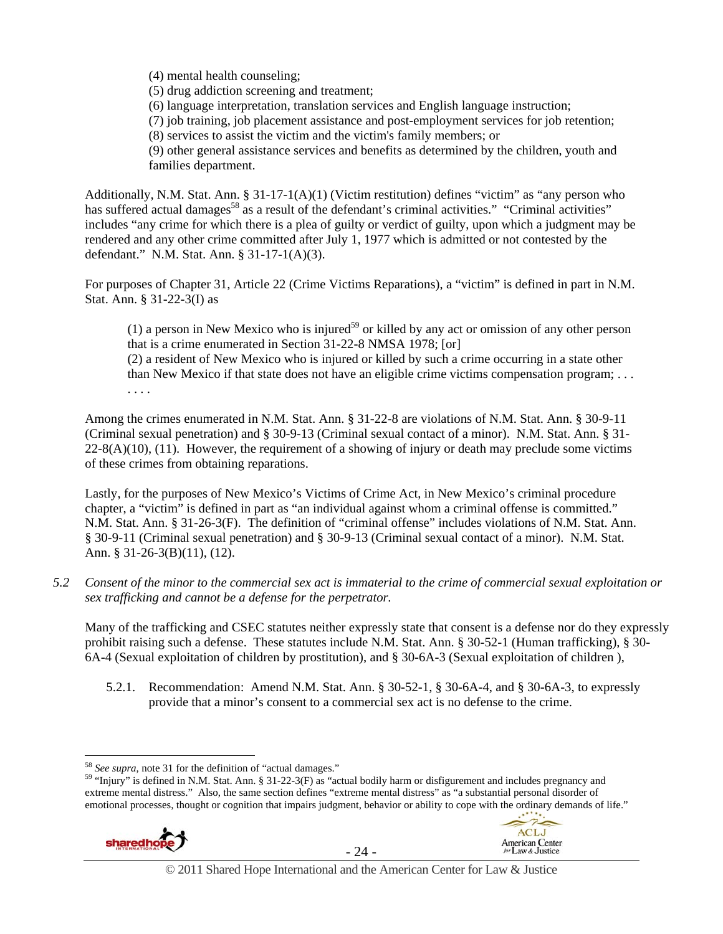(4) mental health counseling;

(5) drug addiction screening and treatment;

(6) language interpretation, translation services and English language instruction;

(7) job training, job placement assistance and post-employment services for job retention;

(8) services to assist the victim and the victim's family members; or

(9) other general assistance services and benefits as determined by the children, youth and families department.

Additionally, N.M. Stat. Ann. § 31-17-1(A)(1) (Victim restitution) defines "victim" as "any person who has suffered actual damages<sup>58</sup> as a result of the defendant's criminal activities." "Criminal activities" includes "any crime for which there is a plea of guilty or verdict of guilty, upon which a judgment may be rendered and any other crime committed after July 1, 1977 which is admitted or not contested by the defendant." N.M. Stat. Ann. § 31-17-1(A)(3).

For purposes of Chapter 31, Article 22 (Crime Victims Reparations), a "victim" is defined in part in N.M. Stat. Ann. § 31-22-3(I) as

(1) a person in New Mexico who is injured<sup>59</sup> or killed by any act or omission of any other person that is a crime enumerated in Section 31-22-8 NMSA 1978; [or]

(2) a resident of New Mexico who is injured or killed by such a crime occurring in a state other than New Mexico if that state does not have an eligible crime victims compensation program; . . . . . . .

Among the crimes enumerated in N.M. Stat. Ann. § 31-22-8 are violations of N.M. Stat. Ann. § 30-9-11 (Criminal sexual penetration) and § 30-9-13 (Criminal sexual contact of a minor). N.M. Stat. Ann. § 31-  $22-8(A)(10)$ , (11). However, the requirement of a showing of injury or death may preclude some victims of these crimes from obtaining reparations.

Lastly, for the purposes of New Mexico's Victims of Crime Act, in New Mexico's criminal procedure chapter, a "victim" is defined in part as "an individual against whom a criminal offense is committed." N.M. Stat. Ann. § 31-26-3(F). The definition of "criminal offense" includes violations of N.M. Stat. Ann. § 30-9-11 (Criminal sexual penetration) and § 30-9-13 (Criminal sexual contact of a minor). N.M. Stat. Ann. § 31-26-3(B)(11), (12).

*5.2 Consent of the minor to the commercial sex act is immaterial to the crime of commercial sexual exploitation or sex trafficking and cannot be a defense for the perpetrator.* 

Many of the trafficking and CSEC statutes neither expressly state that consent is a defense nor do they expressly prohibit raising such a defense. These statutes include N.M. Stat. Ann. § 30-52-1 (Human trafficking), § 30- 6A-4 (Sexual exploitation of children by prostitution), and § 30-6A-3 (Sexual exploitation of children ),

5.2.1. Recommendation: Amend N.M. Stat. Ann. § 30-52-1, § 30-6A-4, and § 30-6A-3, to expressly provide that a minor's consent to a commercial sex act is no defense to the crime.

<sup>&</sup>lt;sup>59</sup> "Injury" is defined in N.M. Stat. Ann. § 31-22-3(F) as "actual bodily harm or disfigurement and includes pregnancy and extreme mental distress." Also, the same section defines "extreme mental distress" as "a substantial personal disorder of emotional processes, thought or cognition that impairs judgment, behavior or ability to cope with the ordinary demands of life."





**ACLJ** 

© 2011 Shared Hope International and the American Center for Law & Justice

<sup>&</sup>lt;sup>58</sup> See supra, note 31 for the definition of "actual damages."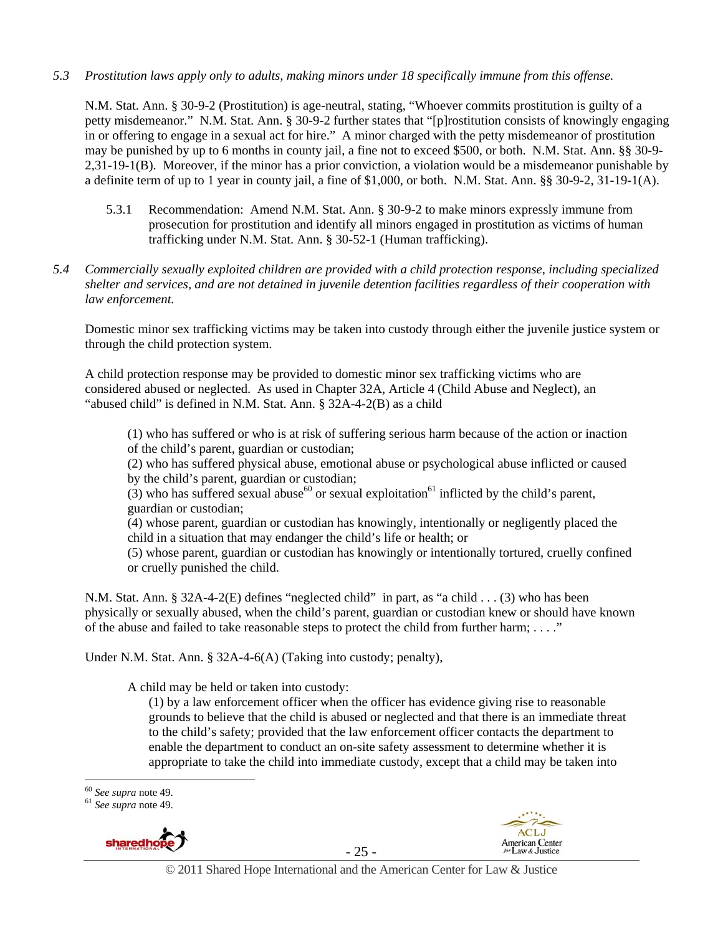#### *5.3 Prostitution laws apply only to adults, making minors under 18 specifically immune from this offense.*

N.M. Stat. Ann. § 30-9-2 (Prostitution) is age-neutral, stating, "Whoever commits prostitution is guilty of a petty misdemeanor." N.M. Stat. Ann. § 30-9-2 further states that "[p]rostitution consists of knowingly engaging in or offering to engage in a sexual act for hire." A minor charged with the petty misdemeanor of prostitution may be punished by up to 6 months in county jail, a fine not to exceed \$500, or both. N.M. Stat. Ann. §§ 30-9- 2,31-19-1(B). Moreover, if the minor has a prior conviction, a violation would be a misdemeanor punishable by a definite term of up to 1 year in county jail, a fine of \$1,000, or both. N.M. Stat. Ann. §§ 30-9-2, 31-19-1(A).

- 5.3.1 Recommendation: Amend N.M. Stat. Ann. § 30-9-2 to make minors expressly immune from prosecution for prostitution and identify all minors engaged in prostitution as victims of human trafficking under N.M. Stat. Ann. § 30-52-1 (Human trafficking).
- *5.4 Commercially sexually exploited children are provided with a child protection response, including specialized shelter and services, and are not detained in juvenile detention facilities regardless of their cooperation with law enforcement.*

Domestic minor sex trafficking victims may be taken into custody through either the juvenile justice system or through the child protection system.

A child protection response may be provided to domestic minor sex trafficking victims who are considered abused or neglected. As used in Chapter 32A, Article 4 (Child Abuse and Neglect), an "abused child" is defined in N.M. Stat. Ann. § 32A-4-2(B) as a child

(1) who has suffered or who is at risk of suffering serious harm because of the action or inaction of the child's parent, guardian or custodian;

(2) who has suffered physical abuse, emotional abuse or psychological abuse inflicted or caused by the child's parent, guardian or custodian;

(3) who has suffered sexual abuse<sup>60</sup> or sexual exploitation<sup>61</sup> inflicted by the child's parent, guardian or custodian;

(4) whose parent, guardian or custodian has knowingly, intentionally or negligently placed the child in a situation that may endanger the child's life or health; or

(5) whose parent, guardian or custodian has knowingly or intentionally tortured, cruelly confined or cruelly punished the child.

N.M. Stat. Ann. § 32A-4-2(E) defines "neglected child" in part, as "a child . . . (3) who has been physically or sexually abused, when the child's parent, guardian or custodian knew or should have known of the abuse and failed to take reasonable steps to protect the child from further harm;  $\dots$ ."

Under N.M. Stat. Ann. § 32A-4-6(A) (Taking into custody; penalty),

A child may be held or taken into custody:

(1) by a law enforcement officer when the officer has evidence giving rise to reasonable grounds to believe that the child is abused or neglected and that there is an immediate threat to the child's safety; provided that the law enforcement officer contacts the department to enable the department to conduct an on-site safety assessment to determine whether it is appropriate to take the child into immediate custody, except that a child may be taken into

<sup>60</sup> *See supra* note 49. 61 *See supra* note 49.







 $60$  See supra note 49.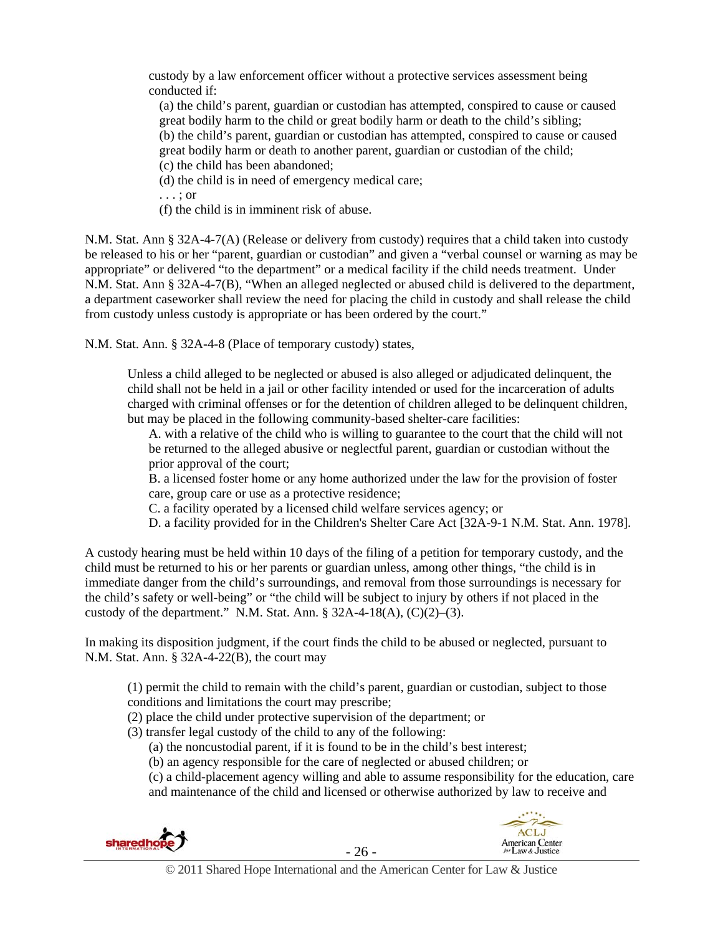custody by a law enforcement officer without a protective services assessment being conducted if:

(a) the child's parent, guardian or custodian has attempted, conspired to cause or caused great bodily harm to the child or great bodily harm or death to the child's sibling; (b) the child's parent, guardian or custodian has attempted, conspired to cause or caused great bodily harm or death to another parent, guardian or custodian of the child; (c) the child has been abandoned;

(d) the child is in need of emergency medical care;

. . . ; or

(f) the child is in imminent risk of abuse.

N.M. Stat. Ann § 32A-4-7(A) (Release or delivery from custody) requires that a child taken into custody be released to his or her "parent, guardian or custodian" and given a "verbal counsel or warning as may be appropriate" or delivered "to the department" or a medical facility if the child needs treatment. Under N.M. Stat. Ann § 32A-4-7(B), "When an alleged neglected or abused child is delivered to the department, a department caseworker shall review the need for placing the child in custody and shall release the child from custody unless custody is appropriate or has been ordered by the court."

N.M. Stat. Ann. § 32A-4-8 (Place of temporary custody) states,

Unless a child alleged to be neglected or abused is also alleged or adjudicated delinquent, the child shall not be held in a jail or other facility intended or used for the incarceration of adults charged with criminal offenses or for the detention of children alleged to be delinquent children, but may be placed in the following community-based shelter-care facilities:

A. with a relative of the child who is willing to guarantee to the court that the child will not be returned to the alleged abusive or neglectful parent, guardian or custodian without the prior approval of the court;

B. a licensed foster home or any home authorized under the law for the provision of foster care, group care or use as a protective residence;

C. a facility operated by a licensed child welfare services agency; or

D. a facility provided for in the Children's Shelter Care Act [32A-9-1 N.M. Stat. Ann. 1978].

A custody hearing must be held within 10 days of the filing of a petition for temporary custody, and the child must be returned to his or her parents or guardian unless, among other things, "the child is in immediate danger from the child's surroundings, and removal from those surroundings is necessary for the child's safety or well-being" or "the child will be subject to injury by others if not placed in the custody of the department." N.M. Stat. Ann.  $\S$  32A-4-18(A), (C)(2)–(3).

In making its disposition judgment, if the court finds the child to be abused or neglected, pursuant to N.M. Stat. Ann. § 32A-4-22(B), the court may

(1) permit the child to remain with the child's parent, guardian or custodian, subject to those conditions and limitations the court may prescribe;

- (2) place the child under protective supervision of the department; or
- (3) transfer legal custody of the child to any of the following:
	- (a) the noncustodial parent, if it is found to be in the child's best interest;
	- (b) an agency responsible for the care of neglected or abused children; or
	- (c) a child-placement agency willing and able to assume responsibility for the education, care and maintenance of the child and licensed or otherwise authorized by law to receive and





**ACLJ** 

American Center<br>for Law & Justice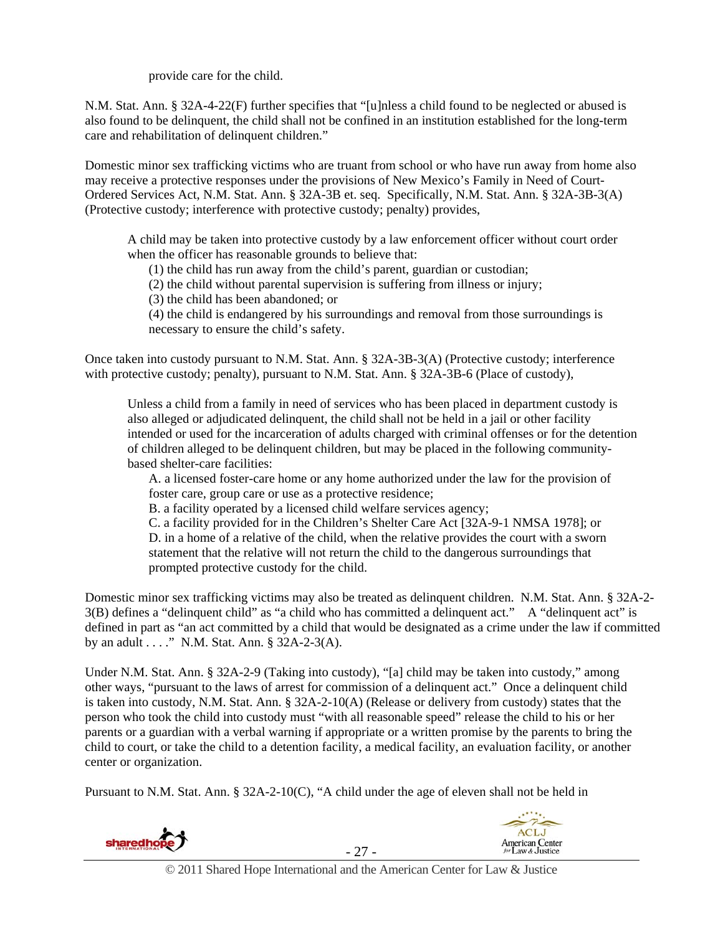provide care for the child.

N.M. Stat. Ann. § 32A-4-22(F) further specifies that "[u]nless a child found to be neglected or abused is also found to be delinquent, the child shall not be confined in an institution established for the long-term care and rehabilitation of delinquent children."

Domestic minor sex trafficking victims who are truant from school or who have run away from home also may receive a protective responses under the provisions of New Mexico's Family in Need of Court-Ordered Services Act, N.M. Stat. Ann. § 32A-3B et. seq. Specifically, N.M. Stat. Ann. § 32A-3B-3(A) (Protective custody; interference with protective custody; penalty) provides,

A child may be taken into protective custody by a law enforcement officer without court order when the officer has reasonable grounds to believe that:

(1) the child has run away from the child's parent, guardian or custodian;

(2) the child without parental supervision is suffering from illness or injury;

(3) the child has been abandoned; or

(4) the child is endangered by his surroundings and removal from those surroundings is necessary to ensure the child's safety.

Once taken into custody pursuant to N.M. Stat. Ann. § 32A-3B-3(A) (Protective custody; interference with protective custody; penalty), pursuant to N.M. Stat. Ann. § 32A-3B-6 (Place of custody),

Unless a child from a family in need of services who has been placed in department custody is also alleged or adjudicated delinquent, the child shall not be held in a jail or other facility intended or used for the incarceration of adults charged with criminal offenses or for the detention of children alleged to be delinquent children, but may be placed in the following communitybased shelter-care facilities:

A. a licensed foster-care home or any home authorized under the law for the provision of foster care, group care or use as a protective residence;

B. a facility operated by a licensed child welfare services agency;

C. a facility provided for in the Children's Shelter Care Act [32A-9-1 NMSA 1978]; or D. in a home of a relative of the child, when the relative provides the court with a sworn statement that the relative will not return the child to the dangerous surroundings that prompted protective custody for the child.

Domestic minor sex trafficking victims may also be treated as delinquent children. N.M. Stat. Ann. § 32A-2- 3(B) defines a "delinquent child" as "a child who has committed a delinquent act." A "delinquent act" is defined in part as "an act committed by a child that would be designated as a crime under the law if committed by an adult . . . ." N.M. Stat. Ann. § 32A-2-3(A).

Under N.M. Stat. Ann. § 32A-2-9 (Taking into custody), "[a] child may be taken into custody," among other ways, "pursuant to the laws of arrest for commission of a delinquent act." Once a delinquent child is taken into custody, N.M. Stat. Ann. § 32A-2-10(A) (Release or delivery from custody) states that the person who took the child into custody must "with all reasonable speed" release the child to his or her parents or a guardian with a verbal warning if appropriate or a written promise by the parents to bring the child to court, or take the child to a detention facility, a medical facility, an evaluation facility, or another center or organization.

Pursuant to N.M. Stat. Ann. § 32A-2-10(C), "A child under the age of eleven shall not be held in





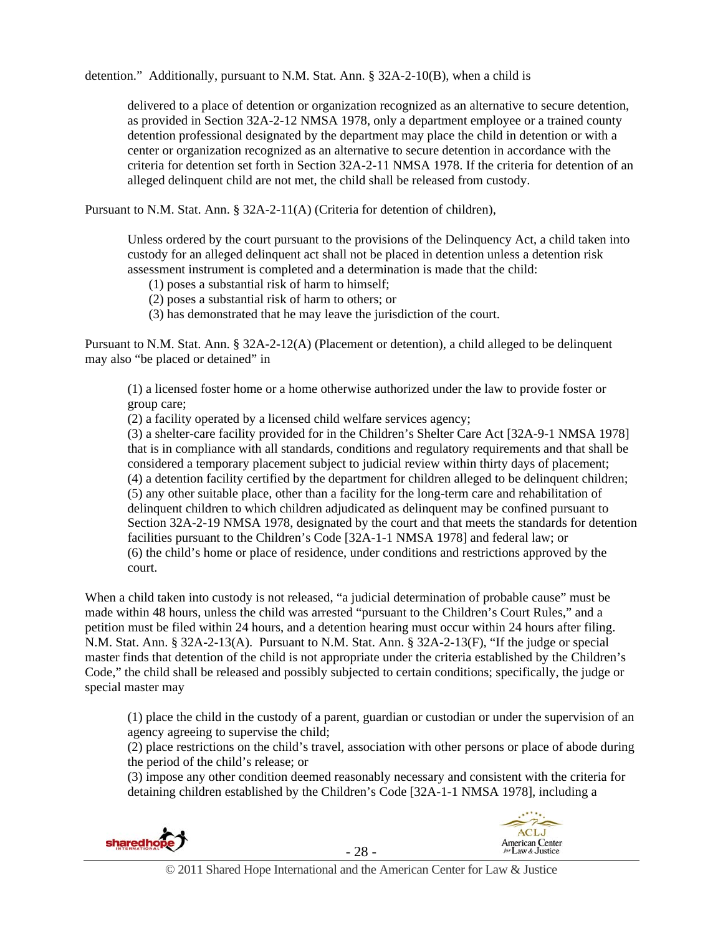detention." Additionally, pursuant to N.M. Stat. Ann. § 32A-2-10(B), when a child is

delivered to a place of detention or organization recognized as an alternative to secure detention, as provided in Section 32A-2-12 NMSA 1978, only a department employee or a trained county detention professional designated by the department may place the child in detention or with a center or organization recognized as an alternative to secure detention in accordance with the criteria for detention set forth in Section 32A-2-11 NMSA 1978. If the criteria for detention of an alleged delinquent child are not met, the child shall be released from custody.

Pursuant to N.M. Stat. Ann. § 32A-2-11(A) (Criteria for detention of children),

Unless ordered by the court pursuant to the provisions of the Delinquency Act, a child taken into custody for an alleged delinquent act shall not be placed in detention unless a detention risk assessment instrument is completed and a determination is made that the child:

(1) poses a substantial risk of harm to himself;

(2) poses a substantial risk of harm to others; or

(3) has demonstrated that he may leave the jurisdiction of the court.

Pursuant to N.M. Stat. Ann. § 32A-2-12(A) (Placement or detention), a child alleged to be delinquent may also "be placed or detained" in

(1) a licensed foster home or a home otherwise authorized under the law to provide foster or group care;

(2) a facility operated by a licensed child welfare services agency;

(3) a shelter-care facility provided for in the Children's Shelter Care Act [32A-9-1 NMSA 1978] that is in compliance with all standards, conditions and regulatory requirements and that shall be considered a temporary placement subject to judicial review within thirty days of placement; (4) a detention facility certified by the department for children alleged to be delinquent children; (5) any other suitable place, other than a facility for the long-term care and rehabilitation of delinquent children to which children adjudicated as delinquent may be confined pursuant to Section 32A-2-19 NMSA 1978, designated by the court and that meets the standards for detention facilities pursuant to the Children's Code [32A-1-1 NMSA 1978] and federal law; or (6) the child's home or place of residence, under conditions and restrictions approved by the court.

When a child taken into custody is not released, "a judicial determination of probable cause" must be made within 48 hours, unless the child was arrested "pursuant to the Children's Court Rules," and a petition must be filed within 24 hours, and a detention hearing must occur within 24 hours after filing. N.M. Stat. Ann. § 32A-2-13(A). Pursuant to N.M. Stat. Ann. § 32A-2-13(F), "If the judge or special master finds that detention of the child is not appropriate under the criteria established by the Children's Code," the child shall be released and possibly subjected to certain conditions; specifically, the judge or special master may

(1) place the child in the custody of a parent, guardian or custodian or under the supervision of an agency agreeing to supervise the child;

(2) place restrictions on the child's travel, association with other persons or place of abode during the period of the child's release; or

(3) impose any other condition deemed reasonably necessary and consistent with the criteria for detaining children established by the Children's Code [32A-1-1 NMSA 1978], including a



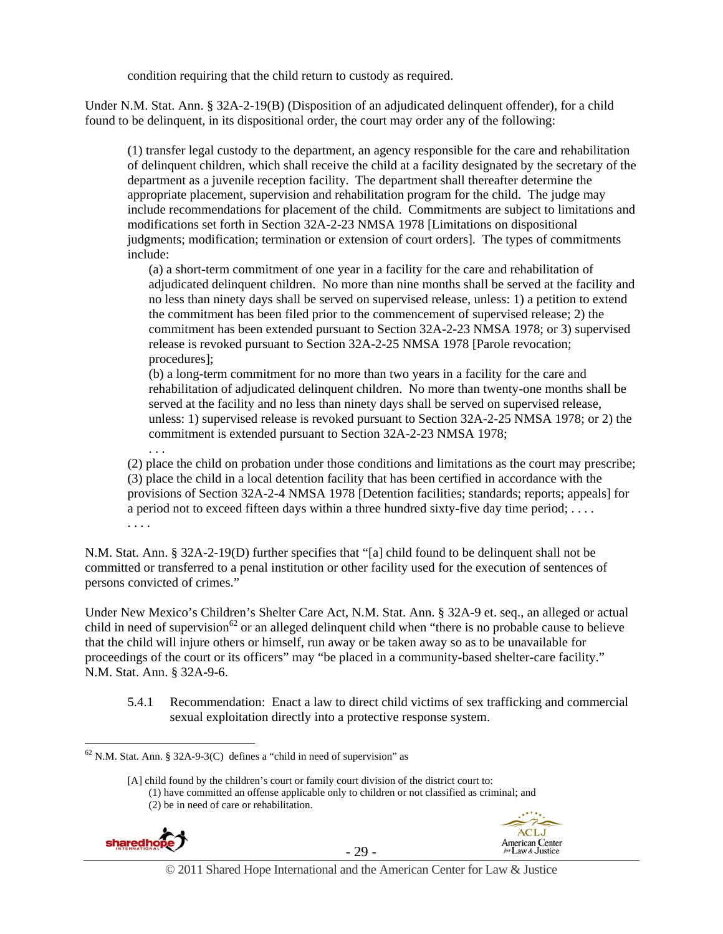condition requiring that the child return to custody as required.

Under N.M. Stat. Ann. § 32A-2-19(B) (Disposition of an adjudicated delinquent offender), for a child found to be delinquent, in its dispositional order, the court may order any of the following:

(1) transfer legal custody to the department, an agency responsible for the care and rehabilitation of delinquent children, which shall receive the child at a facility designated by the secretary of the department as a juvenile reception facility. The department shall thereafter determine the appropriate placement, supervision and rehabilitation program for the child. The judge may include recommendations for placement of the child. Commitments are subject to limitations and modifications set forth in Section 32A-2-23 NMSA 1978 [Limitations on dispositional judgments; modification; termination or extension of court orders]. The types of commitments include:

(a) a short-term commitment of one year in a facility for the care and rehabilitation of adjudicated delinquent children. No more than nine months shall be served at the facility and no less than ninety days shall be served on supervised release, unless: 1) a petition to extend the commitment has been filed prior to the commencement of supervised release; 2) the commitment has been extended pursuant to Section 32A-2-23 NMSA 1978; or 3) supervised release is revoked pursuant to Section 32A-2-25 NMSA 1978 [Parole revocation; procedures];

(b) a long-term commitment for no more than two years in a facility for the care and rehabilitation of adjudicated delinquent children. No more than twenty-one months shall be served at the facility and no less than ninety days shall be served on supervised release, unless: 1) supervised release is revoked pursuant to Section 32A-2-25 NMSA 1978; or 2) the commitment is extended pursuant to Section 32A-2-23 NMSA 1978;

(2) place the child on probation under those conditions and limitations as the court may prescribe; (3) place the child in a local detention facility that has been certified in accordance with the provisions of Section 32A-2-4 NMSA 1978 [Detention facilities; standards; reports; appeals] for a period not to exceed fifteen days within a three hundred sixty-five day time period;  $\dots$ . . . . .

N.M. Stat. Ann. § 32A-2-19(D) further specifies that "[a] child found to be delinquent shall not be committed or transferred to a penal institution or other facility used for the execution of sentences of persons convicted of crimes."

Under New Mexico's Children's Shelter Care Act, N.M. Stat. Ann. § 32A-9 et. seq., an alleged or actual child in need of supervision<sup>62</sup> or an alleged delinquent child when "there is no probable cause to believe that the child will injure others or himself, run away or be taken away so as to be unavailable for proceedings of the court or its officers" may "be placed in a community-based shelter-care facility." N.M. Stat. Ann. § 32A-9-6.

5.4.1 Recommendation: Enact a law to direct child victims of sex trafficking and commercial sexual exploitation directly into a protective response system.

<sup>[</sup>A] child found by the children's court or family court division of the district court to: (1) have committed an offense applicable only to children or not classified as criminal; and (2) be in need of care or rehabilitation.



 $\overline{a}$ 

. . .





© 2011 Shared Hope International and the American Center for Law & Justice

 $62$  N.M. Stat. Ann. § 32A-9-3(C) defines a "child in need of supervision" as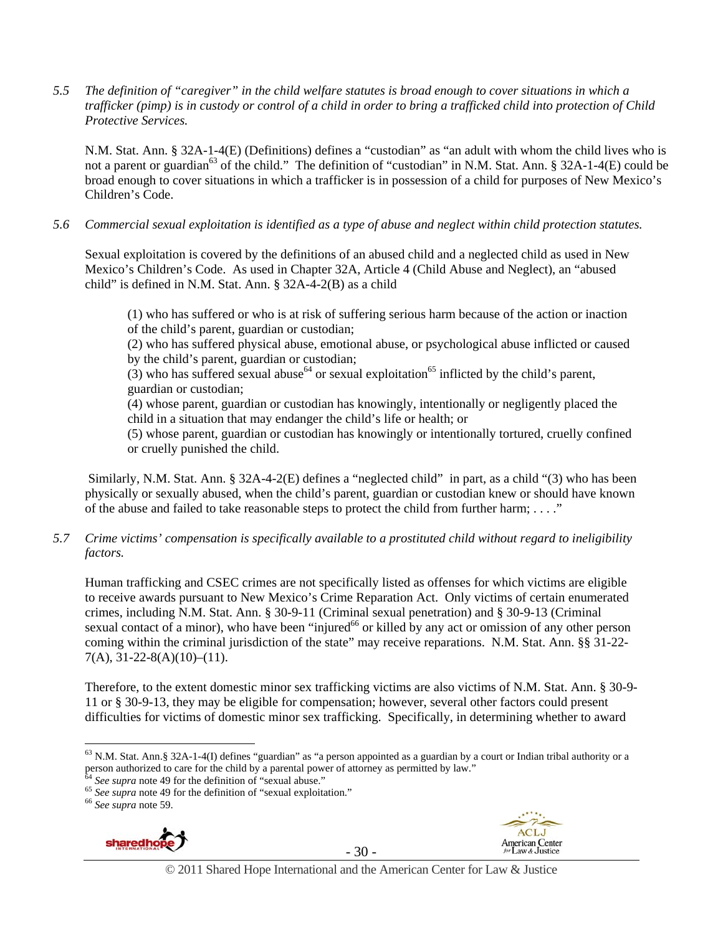*5.5 The definition of "caregiver" in the child welfare statutes is broad enough to cover situations in which a trafficker (pimp) is in custody or control of a child in order to bring a trafficked child into protection of Child Protective Services.* 

N.M. Stat. Ann. § 32A-1-4(E) (Definitions) defines a "custodian" as "an adult with whom the child lives who is not a parent or guardian<sup>63</sup> of the child." The definition of "custodian" in N.M. Stat. Ann. § 32A-1-4(E) could be broad enough to cover situations in which a trafficker is in possession of a child for purposes of New Mexico's Children's Code.

*5.6 Commercial sexual exploitation is identified as a type of abuse and neglect within child protection statutes.* 

Sexual exploitation is covered by the definitions of an abused child and a neglected child as used in New Mexico's Children's Code. As used in Chapter 32A, Article 4 (Child Abuse and Neglect), an "abused child" is defined in N.M. Stat. Ann. § 32A-4-2(B) as a child

(1) who has suffered or who is at risk of suffering serious harm because of the action or inaction of the child's parent, guardian or custodian;

(2) who has suffered physical abuse, emotional abuse, or psychological abuse inflicted or caused by the child's parent, guardian or custodian;

(3) who has suffered sexual abuse<sup>64</sup> or sexual exploitation<sup>65</sup> inflicted by the child's parent, guardian or custodian;

(4) whose parent, guardian or custodian has knowingly, intentionally or negligently placed the child in a situation that may endanger the child's life or health; or

(5) whose parent, guardian or custodian has knowingly or intentionally tortured, cruelly confined or cruelly punished the child.

 Similarly, N.M. Stat. Ann. § 32A-4-2(E) defines a "neglected child" in part, as a child "(3) who has been physically or sexually abused, when the child's parent, guardian or custodian knew or should have known of the abuse and failed to take reasonable steps to protect the child from further harm;  $\dots$ ."

*5.7 Crime victims' compensation is specifically available to a prostituted child without regard to ineligibility factors.* 

Human trafficking and CSEC crimes are not specifically listed as offenses for which victims are eligible to receive awards pursuant to New Mexico's Crime Reparation Act. Only victims of certain enumerated crimes, including N.M. Stat. Ann. § 30-9-11 (Criminal sexual penetration) and § 30-9-13 (Criminal sexual contact of a minor), who have been "injured<sup>66</sup> or killed by any act or omission of any other person coming within the criminal jurisdiction of the state" may receive reparations. N.M. Stat. Ann. §§ 31-22-  $7(A), 31-22-8(A)(10) - (11).$ 

Therefore, to the extent domestic minor sex trafficking victims are also victims of N.M. Stat. Ann. § 30-9- 11 or § 30-9-13, they may be eligible for compensation; however, several other factors could present difficulties for victims of domestic minor sex trafficking. Specifically, in determining whether to award





<sup>63</sup> N.M. Stat. Ann.§ 32A-1-4(I) defines "guardian" as "a person appointed as a guardian by a court or Indian tribal authority or a person authorized to care for the child by a parental power of attorney as permitted by law."<br><sup>64</sup> See supra note 49 for the definition of "sexual abuse."

<sup>64</sup> *See supra* note 49 for the definition of "sexual abuse." 65 *See supra* note 49 for the definition of "sexual exploitation." 66 *See supra* note 59.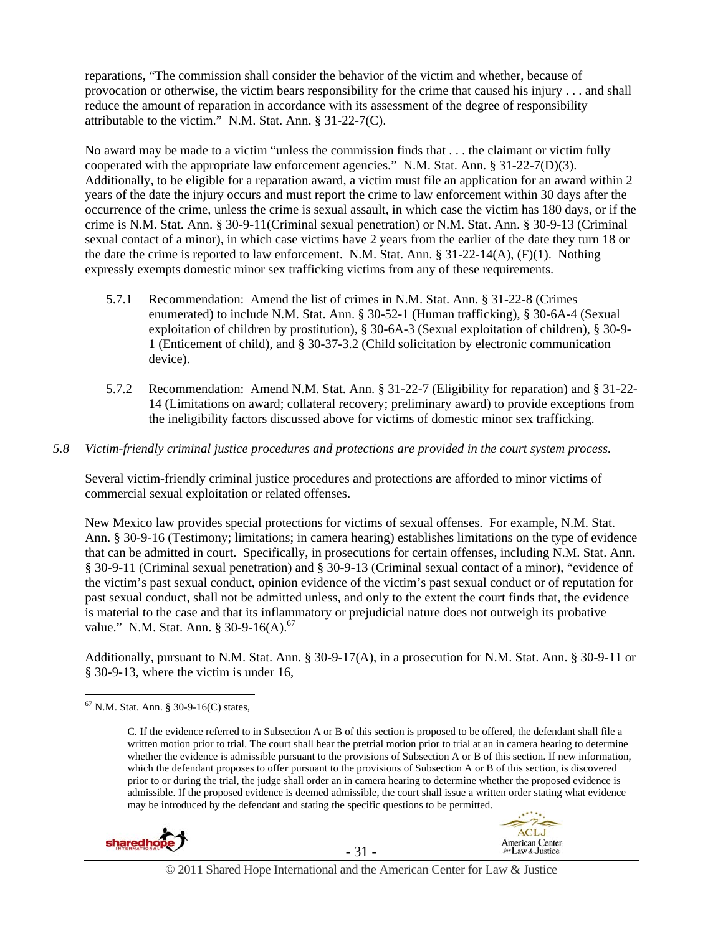reparations, "The commission shall consider the behavior of the victim and whether, because of provocation or otherwise, the victim bears responsibility for the crime that caused his injury . . . and shall reduce the amount of reparation in accordance with its assessment of the degree of responsibility attributable to the victim." N.M. Stat. Ann. § 31-22-7(C).

No award may be made to a victim "unless the commission finds that . . . the claimant or victim fully cooperated with the appropriate law enforcement agencies." N.M. Stat. Ann. § 31-22-7(D)(3). Additionally, to be eligible for a reparation award, a victim must file an application for an award within 2 years of the date the injury occurs and must report the crime to law enforcement within 30 days after the occurrence of the crime, unless the crime is sexual assault, in which case the victim has 180 days, or if the crime is N.M. Stat. Ann. § 30-9-11(Criminal sexual penetration) or N.M. Stat. Ann. § 30-9-13 (Criminal sexual contact of a minor), in which case victims have 2 years from the earlier of the date they turn 18 or the date the crime is reported to law enforcement. N.M. Stat. Ann. § 31-22-14(A), (F)(1). Nothing expressly exempts domestic minor sex trafficking victims from any of these requirements.

- 5.7.1 Recommendation: Amend the list of crimes in N.M. Stat. Ann. § 31-22-8 (Crimes enumerated) to include N.M. Stat. Ann. § 30-52-1 (Human trafficking), § 30-6A-4 (Sexual exploitation of children by prostitution), § 30-6A-3 (Sexual exploitation of children), § 30-9- 1 (Enticement of child), and § 30-37-3.2 (Child solicitation by electronic communication device).
- 5.7.2 Recommendation: Amend N.M. Stat. Ann. § 31-22-7 (Eligibility for reparation) and § 31-22- 14 (Limitations on award; collateral recovery; preliminary award) to provide exceptions from the ineligibility factors discussed above for victims of domestic minor sex trafficking.

#### *5.8 Victim-friendly criminal justice procedures and protections are provided in the court system process.*

Several victim-friendly criminal justice procedures and protections are afforded to minor victims of commercial sexual exploitation or related offenses.

New Mexico law provides special protections for victims of sexual offenses. For example, N.M. Stat. Ann. § 30-9-16 (Testimony; limitations; in camera hearing) establishes limitations on the type of evidence that can be admitted in court. Specifically, in prosecutions for certain offenses, including N.M. Stat. Ann. § 30-9-11 (Criminal sexual penetration) and § 30-9-13 (Criminal sexual contact of a minor), "evidence of the victim's past sexual conduct, opinion evidence of the victim's past sexual conduct or of reputation for past sexual conduct, shall not be admitted unless, and only to the extent the court finds that, the evidence is material to the case and that its inflammatory or prejudicial nature does not outweigh its probative value." N.M. Stat. Ann. § 30-9-16(A). $^{67}$ 

Additionally, pursuant to N.M. Stat. Ann. § 30-9-17(A), in a prosecution for N.M. Stat. Ann. § 30-9-11 or § 30-9-13, where the victim is under 16,

 $\overline{a}$ 

C. If the evidence referred to in Subsection A or B of this section is proposed to be offered, the defendant shall file a written motion prior to trial. The court shall hear the pretrial motion prior to trial at an in camera hearing to determine whether the evidence is admissible pursuant to the provisions of Subsection A or B of this section. If new information, which the defendant proposes to offer pursuant to the provisions of Subsection A or B of this section, is discovered prior to or during the trial, the judge shall order an in camera hearing to determine whether the proposed evidence is admissible. If the proposed evidence is deemed admissible, the court shall issue a written order stating what evidence may be introduced by the defendant and stating the specific questions to be permitted.







© 2011 Shared Hope International and the American Center for Law & Justice

 $67$  N.M. Stat. Ann. § 30-9-16(C) states,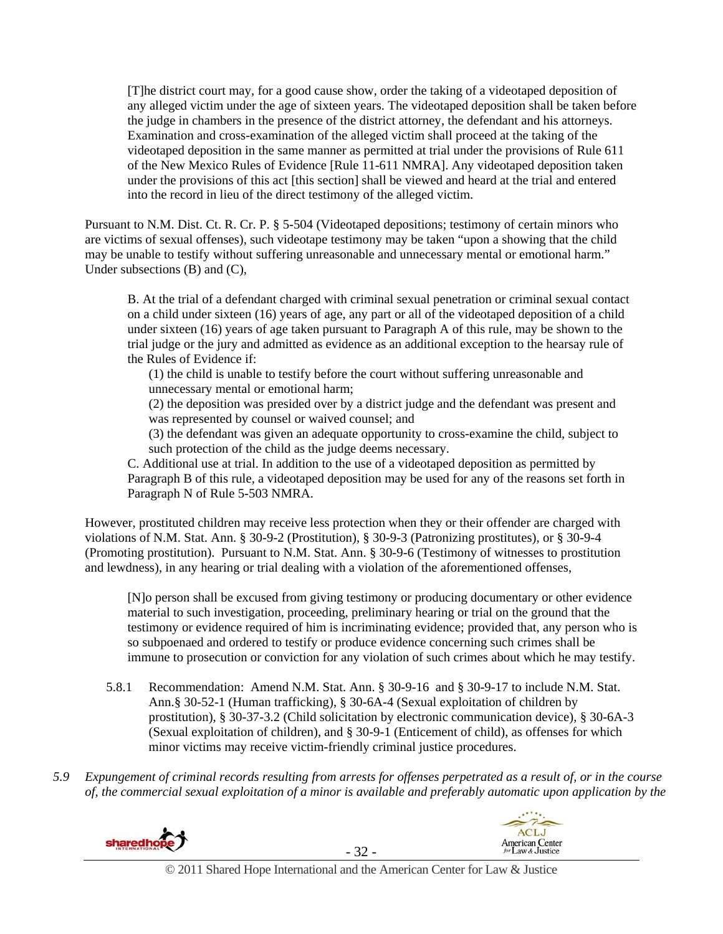[T]he district court may, for a good cause show, order the taking of a videotaped deposition of any alleged victim under the age of sixteen years. The videotaped deposition shall be taken before the judge in chambers in the presence of the district attorney, the defendant and his attorneys. Examination and cross-examination of the alleged victim shall proceed at the taking of the videotaped deposition in the same manner as permitted at trial under the provisions of Rule 611 of the New Mexico Rules of Evidence [Rule 11-611 NMRA]. Any videotaped deposition taken under the provisions of this act [this section] shall be viewed and heard at the trial and entered into the record in lieu of the direct testimony of the alleged victim.

Pursuant to N.M. Dist. Ct. R. Cr. P. § 5-504 (Videotaped depositions; testimony of certain minors who are victims of sexual offenses), such videotape testimony may be taken "upon a showing that the child may be unable to testify without suffering unreasonable and unnecessary mental or emotional harm." Under subsections (B) and (C),

B. At the trial of a defendant charged with criminal sexual penetration or criminal sexual contact on a child under sixteen (16) years of age, any part or all of the videotaped deposition of a child under sixteen (16) years of age taken pursuant to Paragraph A of this rule, may be shown to the trial judge or the jury and admitted as evidence as an additional exception to the hearsay rule of the Rules of Evidence if:

(1) the child is unable to testify before the court without suffering unreasonable and unnecessary mental or emotional harm;

(2) the deposition was presided over by a district judge and the defendant was present and was represented by counsel or waived counsel; and

(3) the defendant was given an adequate opportunity to cross-examine the child, subject to such protection of the child as the judge deems necessary.

C. Additional use at trial. In addition to the use of a videotaped deposition as permitted by Paragraph B of this rule, a videotaped deposition may be used for any of the reasons set forth in Paragraph N of Rule 5-503 NMRA.

However, prostituted children may receive less protection when they or their offender are charged with violations of N.M. Stat. Ann. § 30-9-2 (Prostitution), § 30-9-3 (Patronizing prostitutes), or § 30-9-4 (Promoting prostitution). Pursuant to N.M. Stat. Ann. § 30-9-6 (Testimony of witnesses to prostitution and lewdness), in any hearing or trial dealing with a violation of the aforementioned offenses,

[N]o person shall be excused from giving testimony or producing documentary or other evidence material to such investigation, proceeding, preliminary hearing or trial on the ground that the testimony or evidence required of him is incriminating evidence; provided that, any person who is so subpoenaed and ordered to testify or produce evidence concerning such crimes shall be immune to prosecution or conviction for any violation of such crimes about which he may testify.

- 5.8.1 Recommendation: Amend N.M. Stat. Ann. § 30-9-16 and § 30-9-17 to include N.M. Stat. Ann.§ 30-52-1 (Human trafficking), § 30-6A-4 (Sexual exploitation of children by prostitution), § 30-37-3.2 (Child solicitation by electronic communication device), § 30-6A-3 (Sexual exploitation of children), and § 30-9-1 (Enticement of child), as offenses for which minor victims may receive victim-friendly criminal justice procedures.
- *5.9 Expungement of criminal records resulting from arrests for offenses perpetrated as a result of, or in the course of, the commercial sexual exploitation of a minor is available and preferably automatic upon application by the*





 $-32$  -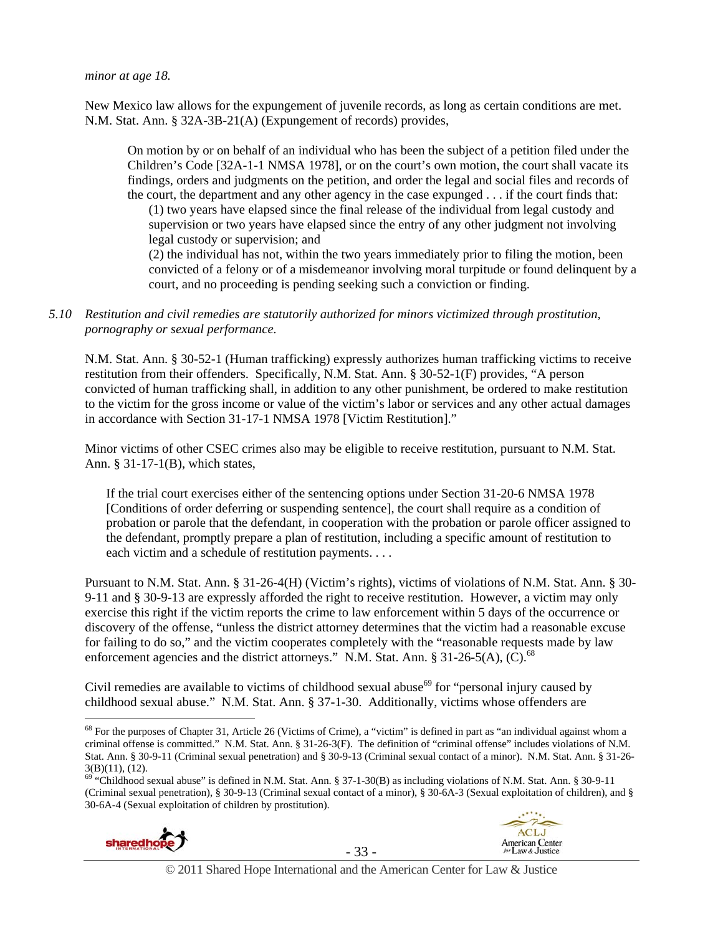*minor at age 18.* 

New Mexico law allows for the expungement of juvenile records, as long as certain conditions are met. N.M. Stat. Ann. § 32A-3B-21(A) (Expungement of records) provides,

On motion by or on behalf of an individual who has been the subject of a petition filed under the Children's Code [32A-1-1 NMSA 1978], or on the court's own motion, the court shall vacate its findings, orders and judgments on the petition, and order the legal and social files and records of the court, the department and any other agency in the case expunged . . . if the court finds that:

(1) two years have elapsed since the final release of the individual from legal custody and supervision or two years have elapsed since the entry of any other judgment not involving legal custody or supervision; and

(2) the individual has not, within the two years immediately prior to filing the motion, been convicted of a felony or of a misdemeanor involving moral turpitude or found delinquent by a court, and no proceeding is pending seeking such a conviction or finding.

*5.10 Restitution and civil remedies are statutorily authorized for minors victimized through prostitution, pornography or sexual performance.* 

N.M. Stat. Ann. § 30-52-1 (Human trafficking) expressly authorizes human trafficking victims to receive restitution from their offenders. Specifically, N.M. Stat. Ann. § 30-52-1(F) provides, "A person convicted of human trafficking shall, in addition to any other punishment, be ordered to make restitution to the victim for the gross income or value of the victim's labor or services and any other actual damages in accordance with Section 31-17-1 NMSA 1978 [Victim Restitution]."

Minor victims of other CSEC crimes also may be eligible to receive restitution, pursuant to N.M. Stat. Ann. § 31-17-1(B), which states,

If the trial court exercises either of the sentencing options under Section 31-20-6 NMSA 1978 [Conditions of order deferring or suspending sentence], the court shall require as a condition of probation or parole that the defendant, in cooperation with the probation or parole officer assigned to the defendant, promptly prepare a plan of restitution, including a specific amount of restitution to each victim and a schedule of restitution payments. . . .

Pursuant to N.M. Stat. Ann. § 31-26-4(H) (Victim's rights), victims of violations of N.M. Stat. Ann. § 30- 9-11 and § 30-9-13 are expressly afforded the right to receive restitution. However, a victim may only exercise this right if the victim reports the crime to law enforcement within 5 days of the occurrence or discovery of the offense, "unless the district attorney determines that the victim had a reasonable excuse for failing to do so," and the victim cooperates completely with the "reasonable requests made by law enforcement agencies and the district attorneys." N.M. Stat. Ann.  $8\,31\text{-}26\text{-}5(A)$ , (C).<sup>68</sup>

Civil remedies are available to victims of childhood sexual abuse<sup>69</sup> for "personal injury caused by childhood sexual abuse." N.M. Stat. Ann. § 37-1-30. Additionally, victims whose offenders are

 $69$  "Childhood sexual abuse" is defined in N.M. Stat. Ann. § 37-1-30(B) as including violations of N.M. Stat. Ann. § 30-9-11 (Criminal sexual penetration), § 30-9-13 (Criminal sexual contact of a minor), § 30-6A-3 (Sexual exploitation of children), and § 30-6A-4 (Sexual exploitation of children by prostitution).



 $\overline{a}$ 



**ACLJ** 

 $68$  For the purposes of Chapter 31, Article 26 (Victims of Crime), a "victim" is defined in part as "an individual against whom a criminal offense is committed." N.M. Stat. Ann. § 31-26-3(F). The definition of "criminal offense" includes violations of N.M. Stat. Ann. § 30-9-11 (Criminal sexual penetration) and § 30-9-13 (Criminal sexual contact of a minor). N.M. Stat. Ann. § 31-26- 3(B)(11), (12).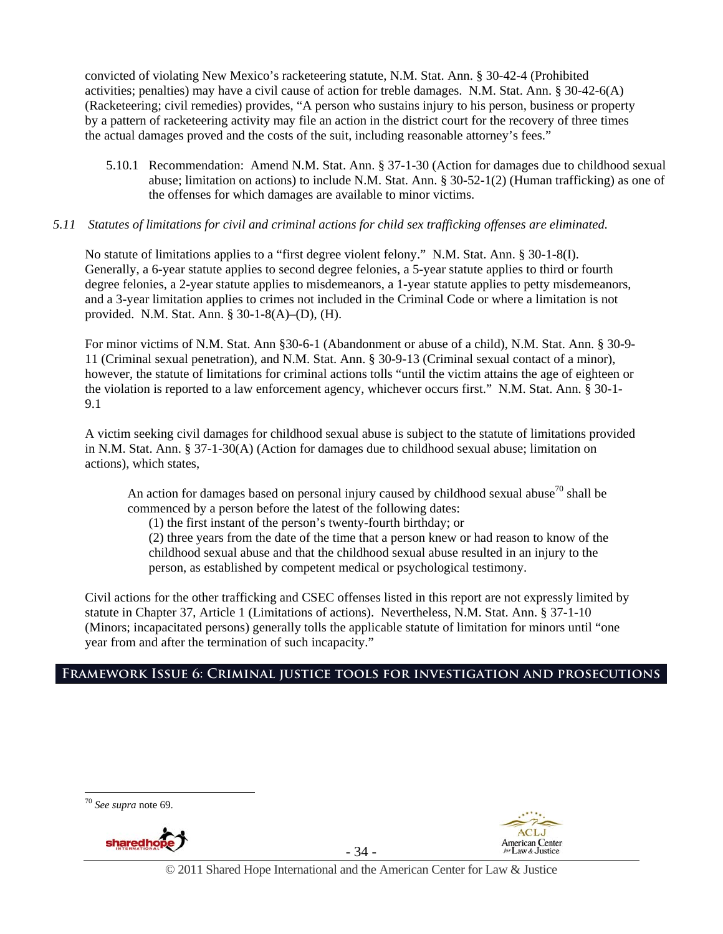convicted of violating New Mexico's racketeering statute, N.M. Stat. Ann. § 30-42-4 (Prohibited activities; penalties) may have a civil cause of action for treble damages. N.M. Stat. Ann. § 30-42-6(A) (Racketeering; civil remedies) provides, "A person who sustains injury to his person, business or property by a pattern of racketeering activity may file an action in the district court for the recovery of three times the actual damages proved and the costs of the suit, including reasonable attorney's fees."

5.10.1 Recommendation: Amend N.M. Stat. Ann. § 37-1-30 (Action for damages due to childhood sexual abuse; limitation on actions) to include N.M. Stat. Ann. § 30-52-1(2) (Human trafficking) as one of the offenses for which damages are available to minor victims.

#### *5.11 Statutes of limitations for civil and criminal actions for child sex trafficking offenses are eliminated.*

No statute of limitations applies to a "first degree violent felony." N.M. Stat. Ann. § 30-1-8(I). Generally, a 6-year statute applies to second degree felonies, a 5-year statute applies to third or fourth degree felonies, a 2-year statute applies to misdemeanors, a 1-year statute applies to petty misdemeanors, and a 3-year limitation applies to crimes not included in the Criminal Code or where a limitation is not provided. N.M. Stat. Ann. § 30-1-8(A)–(D), (H).

For minor victims of N.M. Stat. Ann §30-6-1 (Abandonment or abuse of a child), N.M. Stat. Ann. § 30-9- 11 (Criminal sexual penetration), and N.M. Stat. Ann. § 30-9-13 (Criminal sexual contact of a minor), however, the statute of limitations for criminal actions tolls "until the victim attains the age of eighteen or the violation is reported to a law enforcement agency, whichever occurs first." N.M. Stat. Ann. § 30-1- 9.1

A victim seeking civil damages for childhood sexual abuse is subject to the statute of limitations provided in N.M. Stat. Ann. § 37-1-30(A) (Action for damages due to childhood sexual abuse; limitation on actions), which states,

An action for damages based on personal injury caused by childhood sexual abuse<sup>70</sup> shall be commenced by a person before the latest of the following dates:

(1) the first instant of the person's twenty-fourth birthday; or

(2) three years from the date of the time that a person knew or had reason to know of the childhood sexual abuse and that the childhood sexual abuse resulted in an injury to the person, as established by competent medical or psychological testimony.

Civil actions for the other trafficking and CSEC offenses listed in this report are not expressly limited by statute in Chapter 37, Article 1 (Limitations of actions). Nevertheless, N.M. Stat. Ann. § 37-1-10 (Minors; incapacitated persons) generally tolls the applicable statute of limitation for minors until "one year from and after the termination of such incapacity."

## **Framework Issue 6: Criminal justice tools for investigation and prosecutions**

<sup>70</sup> *See supra* note 69.



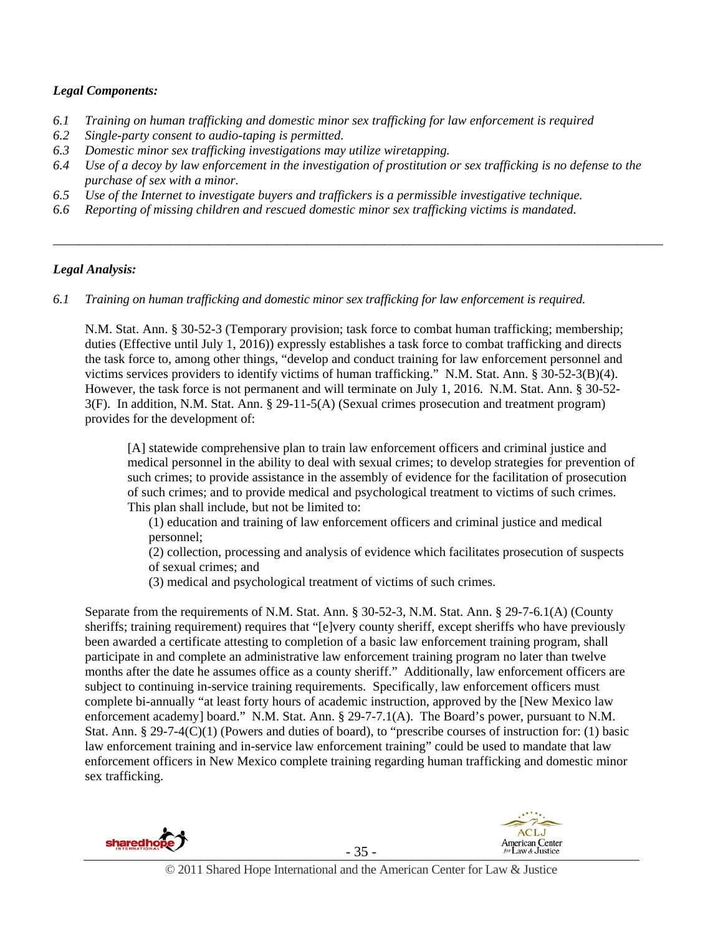## *Legal Components:*

- *6.1 Training on human trafficking and domestic minor sex trafficking for law enforcement is required*
- *6.2 Single-party consent to audio-taping is permitted.*
- *6.3 Domestic minor sex trafficking investigations may utilize wiretapping.*
- *6.4 Use of a decoy by law enforcement in the investigation of prostitution or sex trafficking is no defense to the purchase of sex with a minor.*

*\_\_\_\_\_\_\_\_\_\_\_\_\_\_\_\_\_\_\_\_\_\_\_\_\_\_\_\_\_\_\_\_\_\_\_\_\_\_\_\_\_\_\_\_\_\_\_\_\_\_\_\_\_\_\_\_\_\_\_\_\_\_\_\_\_\_\_\_\_\_\_\_\_\_\_\_\_\_\_\_\_\_\_\_\_\_\_\_\_\_\_\_\_\_* 

- *6.5 Use of the Internet to investigate buyers and traffickers is a permissible investigative technique.*
- *6.6 Reporting of missing children and rescued domestic minor sex trafficking victims is mandated.*

#### *Legal Analysis:*

*6.1 Training on human trafficking and domestic minor sex trafficking for law enforcement is required.* 

N.M. Stat. Ann. § 30-52-3 (Temporary provision; task force to combat human trafficking; membership; duties (Effective until July 1, 2016)) expressly establishes a task force to combat trafficking and directs the task force to, among other things, "develop and conduct training for law enforcement personnel and victims services providers to identify victims of human trafficking." N.M. Stat. Ann. § 30-52-3(B)(4). However, the task force is not permanent and will terminate on July 1, 2016. N.M. Stat. Ann. § 30-52- 3(F). In addition, N.M. Stat. Ann. § 29-11-5(A) (Sexual crimes prosecution and treatment program) provides for the development of:

[A] statewide comprehensive plan to train law enforcement officers and criminal justice and medical personnel in the ability to deal with sexual crimes; to develop strategies for prevention of such crimes; to provide assistance in the assembly of evidence for the facilitation of prosecution of such crimes; and to provide medical and psychological treatment to victims of such crimes. This plan shall include, but not be limited to:

(1) education and training of law enforcement officers and criminal justice and medical personnel;

(2) collection, processing and analysis of evidence which facilitates prosecution of suspects of sexual crimes; and

(3) medical and psychological treatment of victims of such crimes.

Separate from the requirements of N.M. Stat. Ann. § 30-52-3, N.M. Stat. Ann. § 29-7-6.1(A) (County sheriffs; training requirement) requires that "[e]very county sheriff, except sheriffs who have previously been awarded a certificate attesting to completion of a basic law enforcement training program, shall participate in and complete an administrative law enforcement training program no later than twelve months after the date he assumes office as a county sheriff." Additionally, law enforcement officers are subject to continuing in-service training requirements. Specifically, law enforcement officers must complete bi-annually "at least forty hours of academic instruction, approved by the [New Mexico law enforcement academy] board." N.M. Stat. Ann. § 29-7-7.1(A). The Board's power, pursuant to N.M. Stat. Ann. § 29-7-4(C)(1) (Powers and duties of board), to "prescribe courses of instruction for: (1) basic law enforcement training and in-service law enforcement training" could be used to mandate that law enforcement officers in New Mexico complete training regarding human trafficking and domestic minor sex trafficking.



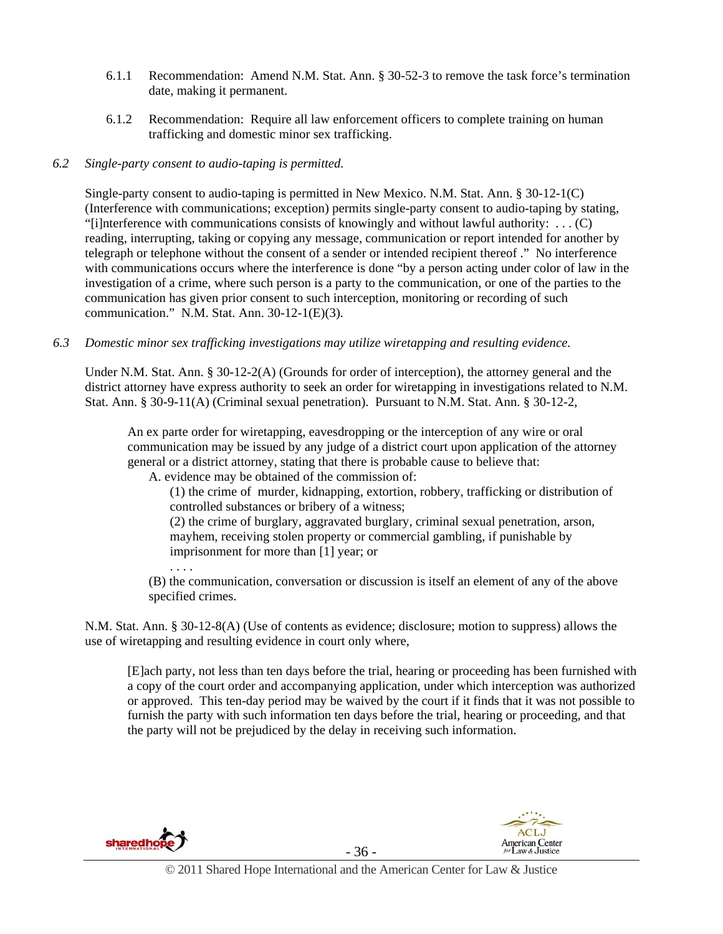- 6.1.1 Recommendation: Amend N.M. Stat. Ann. § 30-52-3 to remove the task force's termination date, making it permanent.
- 6.1.2 Recommendation: Require all law enforcement officers to complete training on human trafficking and domestic minor sex trafficking.

## *6.2 Single-party consent to audio-taping is permitted.*

Single-party consent to audio-taping is permitted in New Mexico. N.M. Stat. Ann. § 30-12-1(C) (Interference with communications; exception) permits single-party consent to audio-taping by stating, "[i]nterference with communications consists of knowingly and without lawful authority:  $\dots$  (C) reading, interrupting, taking or copying any message, communication or report intended for another by telegraph or telephone without the consent of a sender or intended recipient thereof ." No interference with communications occurs where the interference is done "by a person acting under color of law in the investigation of a crime, where such person is a party to the communication, or one of the parties to the communication has given prior consent to such interception, monitoring or recording of such communication." N.M. Stat. Ann. 30-12-1(E)(3).

*6.3 Domestic minor sex trafficking investigations may utilize wiretapping and resulting evidence.* 

Under N.M. Stat. Ann. § 30-12-2(A) (Grounds for order of interception), the attorney general and the district attorney have express authority to seek an order for wiretapping in investigations related to N.M. Stat. Ann. § 30-9-11(A) (Criminal sexual penetration). Pursuant to N.M. Stat. Ann. § 30-12-2,

An ex parte order for wiretapping, eavesdropping or the interception of any wire or oral communication may be issued by any judge of a district court upon application of the attorney general or a district attorney, stating that there is probable cause to believe that:

A. evidence may be obtained of the commission of:

(1) the crime of murder, kidnapping, extortion, robbery, trafficking or distribution of controlled substances or bribery of a witness;

(2) the crime of burglary, aggravated burglary, criminal sexual penetration, arson, mayhem, receiving stolen property or commercial gambling, if punishable by imprisonment for more than [1] year; or

(B) the communication, conversation or discussion is itself an element of any of the above specified crimes.

N.M. Stat. Ann. § 30-12-8(A) (Use of contents as evidence; disclosure; motion to suppress) allows the use of wiretapping and resulting evidence in court only where,

[E]ach party, not less than ten days before the trial, hearing or proceeding has been furnished with a copy of the court order and accompanying application, under which interception was authorized or approved. This ten-day period may be waived by the court if it finds that it was not possible to furnish the party with such information ten days before the trial, hearing or proceeding, and that the party will not be prejudiced by the delay in receiving such information.



. . . .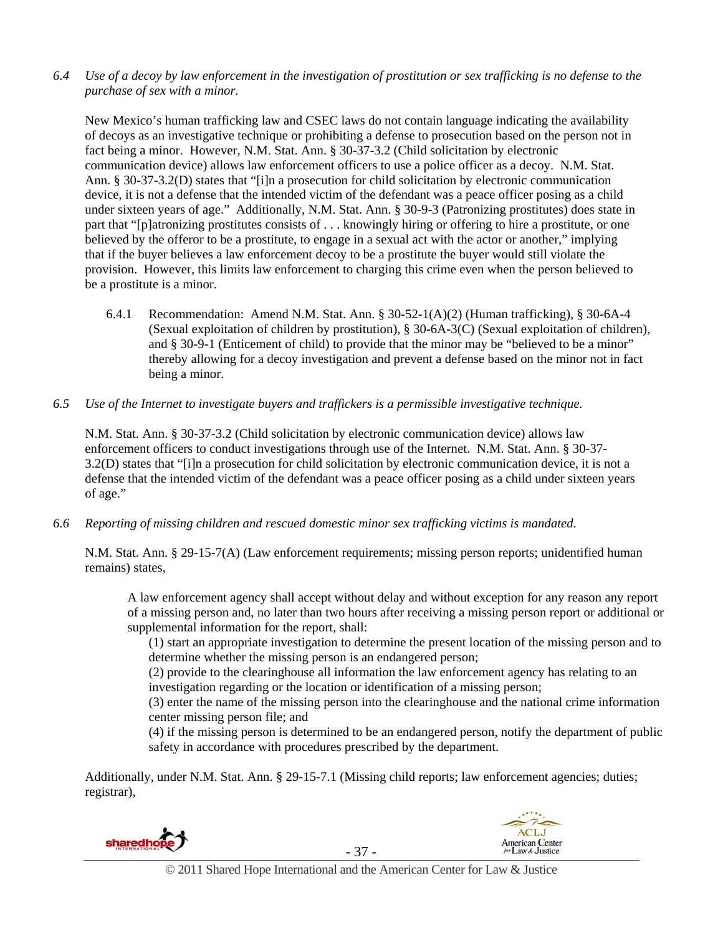*6.4 Use of a decoy by law enforcement in the investigation of prostitution or sex trafficking is no defense to the purchase of sex with a minor.* 

New Mexico's human trafficking law and CSEC laws do not contain language indicating the availability of decoys as an investigative technique or prohibiting a defense to prosecution based on the person not in fact being a minor. However, N.M. Stat. Ann. § 30-37-3.2 (Child solicitation by electronic communication device) allows law enforcement officers to use a police officer as a decoy. N.M. Stat. Ann. § 30-37-3.2(D) states that "[i]n a prosecution for child solicitation by electronic communication device, it is not a defense that the intended victim of the defendant was a peace officer posing as a child under sixteen years of age." Additionally, N.M. Stat. Ann. § 30-9-3 (Patronizing prostitutes) does state in part that "[p]atronizing prostitutes consists of . . . knowingly hiring or offering to hire a prostitute, or one believed by the offeror to be a prostitute, to engage in a sexual act with the actor or another," implying that if the buyer believes a law enforcement decoy to be a prostitute the buyer would still violate the provision. However, this limits law enforcement to charging this crime even when the person believed to be a prostitute is a minor.

- 6.4.1 Recommendation: Amend N.M. Stat. Ann. § 30-52-1(A)(2) (Human trafficking), § 30-6A-4 (Sexual exploitation of children by prostitution), § 30-6A-3(C) (Sexual exploitation of children), and § 30-9-1 (Enticement of child) to provide that the minor may be "believed to be a minor" thereby allowing for a decoy investigation and prevent a defense based on the minor not in fact being a minor.
- *6.5 Use of the Internet to investigate buyers and traffickers is a permissible investigative technique.*

N.M. Stat. Ann. § 30-37-3.2 (Child solicitation by electronic communication device) allows law enforcement officers to conduct investigations through use of the Internet. N.M. Stat. Ann. § 30-37- 3.2(D) states that "[i]n a prosecution for child solicitation by electronic communication device, it is not a defense that the intended victim of the defendant was a peace officer posing as a child under sixteen years of age."

*6.6 Reporting of missing children and rescued domestic minor sex trafficking victims is mandated.* 

N.M. Stat. Ann. § 29-15-7(A) (Law enforcement requirements; missing person reports; unidentified human remains) states,

A law enforcement agency shall accept without delay and without exception for any reason any report of a missing person and, no later than two hours after receiving a missing person report or additional or supplemental information for the report, shall:

(1) start an appropriate investigation to determine the present location of the missing person and to determine whether the missing person is an endangered person;

(2) provide to the clearinghouse all information the law enforcement agency has relating to an investigation regarding or the location or identification of a missing person;

(3) enter the name of the missing person into the clearinghouse and the national crime information center missing person file; and

(4) if the missing person is determined to be an endangered person, notify the department of public safety in accordance with procedures prescribed by the department.

Additionally, under N.M. Stat. Ann. § 29-15-7.1 (Missing child reports; law enforcement agencies; duties; registrar),